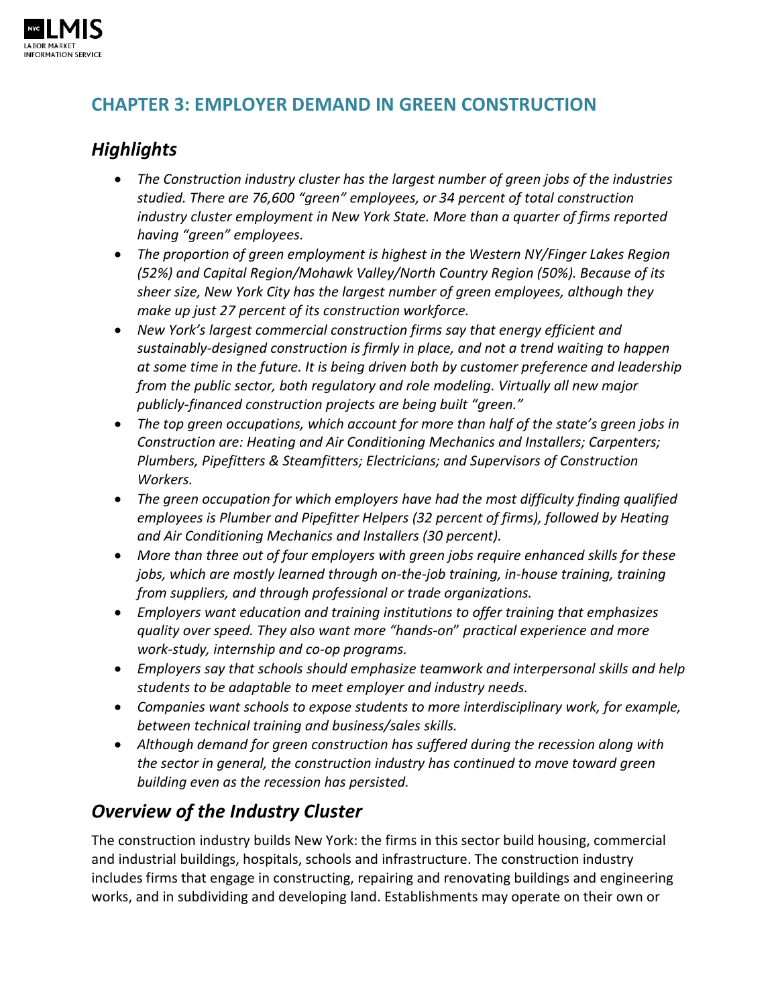

## **CHAPTER 3: EMPLOYER DEMAND IN GREEN CONSTRUCTION**

# *Highlights*

- *The Construction industry cluster has the largest number of green jobs of the industries studied. There are 76,600 "green" employees, or 34 percent of total construction industry cluster employment in New York State. More than a quarter of firms reported having "green" employees.*
- *The proportion of green employment is highest in the Western NY/Finger Lakes Region (52%) and Capital Region/Mohawk Valley/North Country Region (50%). Because of its sheer size, New York City has the largest number of green employees, although they make up just 27 percent of its construction workforce.*
- *New York's largest commercial construction firms say that energy efficient and sustainably-designed construction is firmly in place, and not a trend waiting to happen at some time in the future. It is being driven both by customer preference and leadership from the public sector, both regulatory and role modeling. Virtually all new major publicly-financed construction projects are being built "green."*
- *The top green occupations, which account for more than half of the state's green jobs in Construction are: Heating and Air Conditioning Mechanics and Installers; Carpenters; Plumbers, Pipefitters & Steamfitters; Electricians; and Supervisors of Construction Workers.*
- *The green occupation for which employers have had the most difficulty finding qualified employees is Plumber and Pipefitter Helpers (32 percent of firms), followed by Heating and Air Conditioning Mechanics and Installers (30 percent).*
- *More than three out of four employers with green jobs require enhanced skills for these jobs, which are mostly learned through on-the-job training, in-house training, training from suppliers, and through professional or trade organizations.*
- *Employers want education and training institutions to offer training that emphasizes quality over speed. They also want more "hands-on*" *practical experience and more work-study, internship and co-op programs.*
- *Employers say that schools should emphasize teamwork and interpersonal skills and help students to be adaptable to meet employer and industry needs.*
- *Companies want schools to expose students to more interdisciplinary work, for example, between technical training and business/sales skills.*
- *Although demand for green construction has suffered during the recession along with the sector in general, the construction industry has continued to move toward green building even as the recession has persisted.*

# *Overview of the Industry Cluster*

The construction industry builds New York: the firms in this sector build housing, commercial and industrial buildings, hospitals, schools and infrastructure. The construction industry includes firms that engage in constructing, repairing and renovating buildings and engineering works, and in subdividing and developing land. Establishments may operate on their own or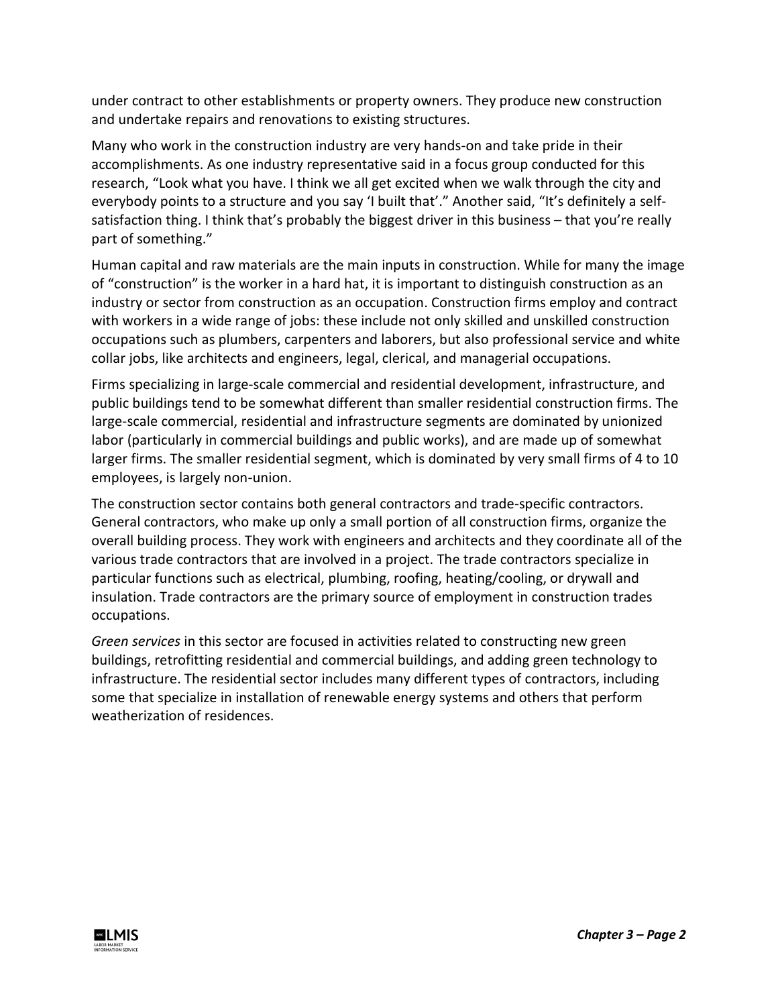under contract to other establishments or property owners. They produce new construction and undertake repairs and renovations to existing structures.

Many who work in the construction industry are very hands-on and take pride in their accomplishments. As one industry representative said in a focus group conducted for this research, "Look what you have. I think we all get excited when we walk through the city and everybody points to a structure and you say 'I built that'." Another said, "It's definitely a selfsatisfaction thing. I think that's probably the biggest driver in this business – that you're really part of something."

Human capital and raw materials are the main inputs in construction. While for many the image of "construction" is the worker in a hard hat, it is important to distinguish construction as an industry or sector from construction as an occupation. Construction firms employ and contract with workers in a wide range of jobs: these include not only skilled and unskilled construction occupations such as plumbers, carpenters and laborers, but also professional service and white collar jobs, like architects and engineers, legal, clerical, and managerial occupations.

Firms specializing in large-scale commercial and residential development, infrastructure, and public buildings tend to be somewhat different than smaller residential construction firms. The large-scale commercial, residential and infrastructure segments are dominated by unionized labor (particularly in commercial buildings and public works), and are made up of somewhat larger firms. The smaller residential segment, which is dominated by very small firms of 4 to 10 employees, is largely non-union.

The construction sector contains both general contractors and trade-specific contractors. General contractors, who make up only a small portion of all construction firms, organize the overall building process. They work with engineers and architects and they coordinate all of the various trade contractors that are involved in a project. The trade contractors specialize in particular functions such as electrical, plumbing, roofing, heating/cooling, or drywall and insulation. Trade contractors are the primary source of employment in construction trades occupations.

*Green services* in this sector are focused in activities related to constructing new green buildings, retrofitting residential and commercial buildings, and adding green technology to infrastructure. The residential sector includes many different types of contractors, including some that specialize in installation of renewable energy systems and others that perform weatherization of residences.

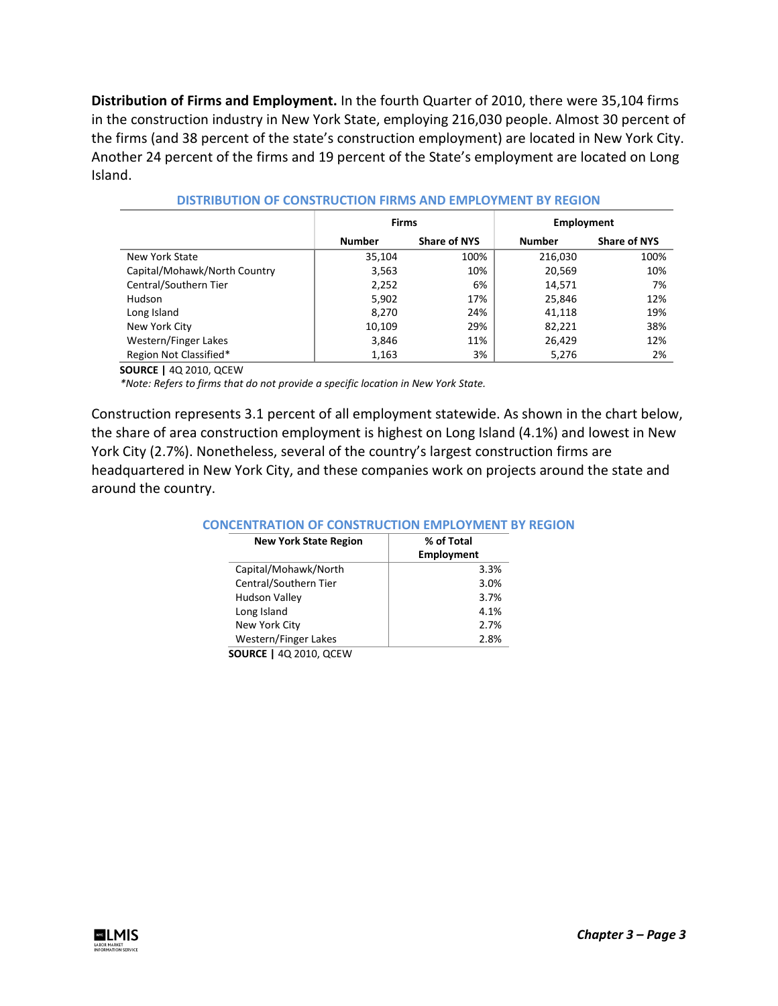**Distribution of Firms and Employment.** In the fourth Quarter of 2010, there were 35,104 firms in the construction industry in New York State, employing 216,030 people. Almost 30 percent of the firms (and 38 percent of the state's construction employment) are located in New York City. Another 24 percent of the firms and 19 percent of the State's employment are located on Long Island.

|                              | <b>Firms</b>  |                     | <b>Employment</b> |                     |  |
|------------------------------|---------------|---------------------|-------------------|---------------------|--|
|                              | <b>Number</b> | <b>Share of NYS</b> | <b>Number</b>     | <b>Share of NYS</b> |  |
| New York State               | 35,104        | 100%                | 216,030           | 100%                |  |
| Capital/Mohawk/North Country | 3,563         | 10%                 | 20,569            | 10%                 |  |
| Central/Southern Tier        | 2,252         | 6%                  | 14.571            | 7%                  |  |
| <b>Hudson</b>                | 5,902         | 17%                 | 25,846            | 12%                 |  |
| Long Island                  | 8.270         | 24%                 | 41,118            | 19%                 |  |
| New York City                | 10,109        | 29%                 | 82,221            | 38%                 |  |
| Western/Finger Lakes         | 3,846         | 11%                 | 26,429            | 12%                 |  |
| Region Not Classified*       | 1,163         | 3%                  | 5,276             | 2%                  |  |

| DISTRIBUTION OF CONSTRUCTION FIRMS AND EMPLOYMENT BY REGION |  |  |
|-------------------------------------------------------------|--|--|
|                                                             |  |  |

**SOURCE |** 4Q 2010, QCEW

*\*Note: Refers to firms that do not provide a specific location in New York State.*

Construction represents 3.1 percent of all employment statewide. As shown in the chart below, the share of area construction employment is highest on Long Island (4.1%) and lowest in New York City (2.7%). Nonetheless, several of the country's largest construction firms are headquartered in New York City, and these companies work on projects around the state and around the country.

#### **CONCENTRATION OF CONSTRUCTION EMPLOYMENT BY REGION**

| <b>New York State Region</b>  | % of Total<br><b>Employment</b> |
|-------------------------------|---------------------------------|
| Capital/Mohawk/North          | 3.3%                            |
| Central/Southern Tier         | 3.0%                            |
| <b>Hudson Valley</b>          | 3.7%                            |
| Long Island                   | 4.1%                            |
| New York City                 | 2.7%                            |
| <b>Western/Finger Lakes</b>   | 2.8%                            |
| <b>SOURCE   40 2010, QCEW</b> |                                 |

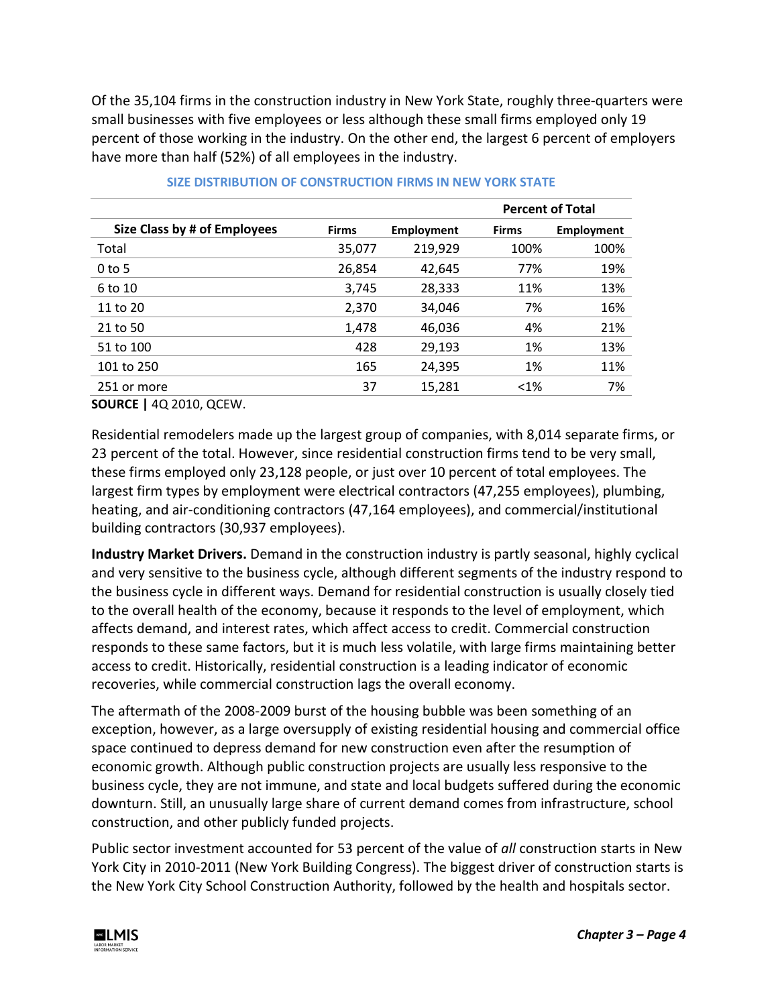Of the 35,104 firms in the construction industry in New York State, roughly three-quarters were small businesses with five employees or less although these small firms employed only 19 percent of those working in the industry. On the other end, the largest 6 percent of employers have more than half (52%) of all employees in the industry.

|                              |              |                   | <b>Percent of Total</b> |                   |  |
|------------------------------|--------------|-------------------|-------------------------|-------------------|--|
| Size Class by # of Employees | <b>Firms</b> | <b>Employment</b> | <b>Firms</b>            | <b>Employment</b> |  |
| Total                        | 35,077       | 219,929           | 100%                    | 100%              |  |
| $0$ to 5                     | 26,854       | 42,645            | 77%                     | 19%               |  |
| 6 to 10                      | 3,745        | 28,333            | 11%                     | 13%               |  |
| 11 to 20                     | 2,370        | 34,046            | 7%                      | 16%               |  |
| 21 to 50                     | 1,478        | 46,036            | 4%                      | 21%               |  |
| 51 to 100                    | 428          | 29,193            | 1%                      | 13%               |  |
| 101 to 250                   | 165          | 24,395            | 1%                      | 11%               |  |
| 251 or more                  | 37           | 15,281            | $<$ 1%                  | 7%                |  |
|                              |              |                   |                         |                   |  |

### **SIZE DISTRIBUTION OF CONSTRUCTION FIRMS IN NEW YORK STATE**

**SOURCE |** 4Q 2010, QCEW.

Residential remodelers made up the largest group of companies, with 8,014 separate firms, or 23 percent of the total. However, since residential construction firms tend to be very small, these firms employed only 23,128 people, or just over 10 percent of total employees. The largest firm types by employment were electrical contractors (47,255 employees), plumbing, heating, and air-conditioning contractors (47,164 employees), and commercial/institutional building contractors (30,937 employees).

**Industry Market Drivers.** Demand in the construction industry is partly seasonal, highly cyclical and very sensitive to the business cycle, although different segments of the industry respond to the business cycle in different ways. Demand for residential construction is usually closely tied to the overall health of the economy, because it responds to the level of employment, which affects demand, and interest rates, which affect access to credit. Commercial construction responds to these same factors, but it is much less volatile, with large firms maintaining better access to credit. Historically, residential construction is a leading indicator of economic recoveries, while commercial construction lags the overall economy.

The aftermath of the 2008-2009 burst of the housing bubble was been something of an exception, however, as a large oversupply of existing residential housing and commercial office space continued to depress demand for new construction even after the resumption of economic growth. Although public construction projects are usually less responsive to the business cycle, they are not immune, and state and local budgets suffered during the economic downturn. Still, an unusually large share of current demand comes from infrastructure, school construction, and other publicly funded projects.

Public sector investment accounted for 53 percent of the value of *all* construction starts in New York City in 2010-2011 (New York Building Congress). The biggest driver of construction starts is the New York City School Construction Authority, followed by the health and hospitals sector.

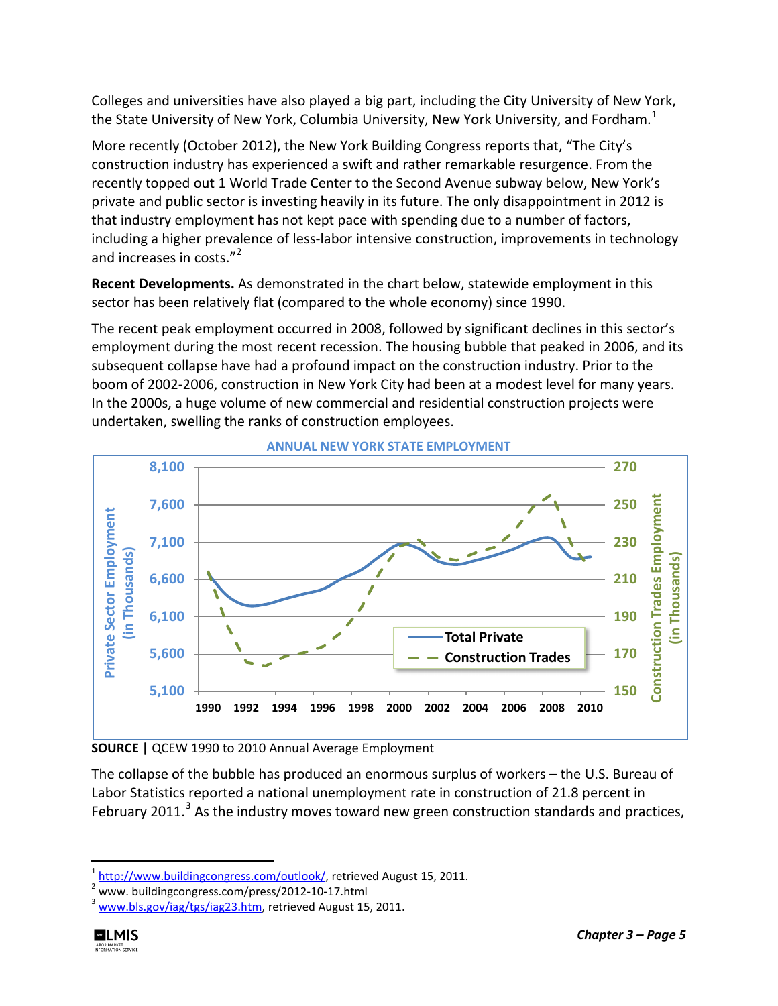Colleges and universities have also played a big part, including the City University of New York, the State University of New York, Columbia University, New York University, and Fordham.<sup>[1](#page-4-0)</sup>

More recently (October 2012), the New York Building Congress reports that, "The City's construction industry has experienced a swift and rather remarkable resurgence. From the recently topped out 1 World Trade Center to the Second Avenue subway below, New York's private and public sector is investing heavily in its future. The only disappointment in 2012 is that industry employment has not kept pace with spending due to a number of factors, including a higher prevalence of less-labor intensive construction, improvements in technology and increases in costs."<sup>[2](#page-4-1)</sup>

**Recent Developments.** As demonstrated in the chart below, statewide employment in this sector has been relatively flat (compared to the whole economy) since 1990.

The recent peak employment occurred in 2008, followed by significant declines in this sector's employment during the most recent recession. The housing bubble that peaked in 2006, and its subsequent collapse have had a profound impact on the construction industry. Prior to the boom of 2002-2006, construction in New York City had been at a modest level for many years. In the 2000s, a huge volume of new commercial and residential construction projects were undertaken, swelling the ranks of construction employees.



**ANNUAL NEW YORK STATE EMPLOYMENT**

**SOURCE |** QCEW 1990 to 2010 Annual Average Employment

The collapse of the bubble has produced an enormous surplus of workers – the U.S. Bureau of Labor Statistics reported a national unemployment rate in construction of 21.8 percent in February 2011.<sup>[3](#page-4-2)</sup> As the industry moves toward new green construction standards and practices,

<span id="page-4-2"></span> $3$  [www.bls.gov/iag/tgs/iag23.htm,](http://www.bls.gov/iag/tgs/iag23.htm) retrieved August 15, 2011.



<span id="page-4-1"></span><span id="page-4-0"></span> $\frac{1}{1}$ <sup>1</sup> [http://www.buildingcongress.com/outlook/,](http://www.buildingcongress.com/outlook/) retrieved August 15, 2011.

<sup>&</sup>lt;sup>2</sup> www. buildingcongress.com/press/2012-10-17.html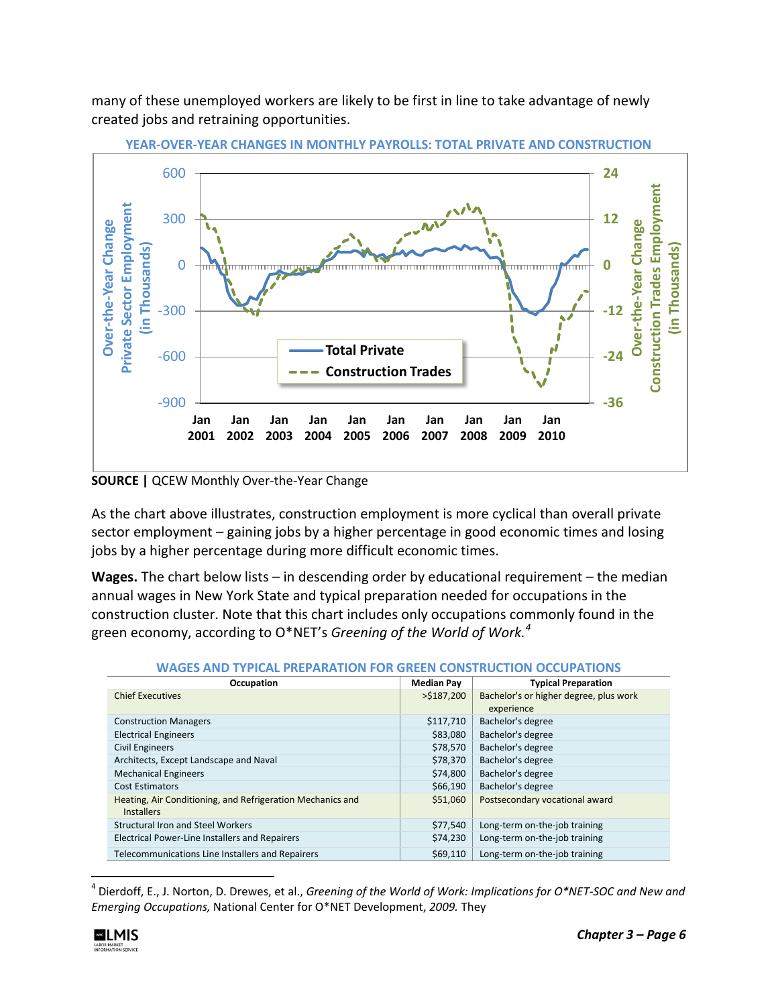many of these unemployed workers are likely to be first in line to take advantage of newly created jobs and retraining opportunities.



**YEAR-OVER-YEAR CHANGES IN MONTHLY PAYROLLS: TOTAL PRIVATE AND CONSTRUCTION**

**SOURCE |** QCEW Monthly Over-the-Year Change

As the chart above illustrates, construction employment is more cyclical than overall private sector employment – gaining jobs by a higher percentage in good economic times and losing jobs by a higher percentage during more difficult economic times.

**Wages.** The chart below lists – in descending order by educational requirement – the median annual wages in New York State and typical preparation needed for occupations in the construction cluster. Note that this chart includes only occupations commonly found in the green economy, according to O\*NET's *Greening of the World of Work.[4](#page-5-0)*

| Occupation                                                                      | <b>Median Pay</b> | <b>Typical Preparation</b>             |
|---------------------------------------------------------------------------------|-------------------|----------------------------------------|
| <b>Chief Executives</b>                                                         | $>$ \$187,200     | Bachelor's or higher degree, plus work |
|                                                                                 |                   | experience                             |
| <b>Construction Managers</b>                                                    | \$117,710         | Bachelor's degree                      |
| <b>Electrical Engineers</b>                                                     | \$83,080          | Bachelor's degree                      |
| <b>Civil Engineers</b>                                                          | \$78,570          | Bachelor's degree                      |
| Architects, Except Landscape and Naval                                          | \$78,370          | Bachelor's degree                      |
| <b>Mechanical Engineers</b>                                                     | \$74,800          | Bachelor's degree                      |
| <b>Cost Estimators</b>                                                          | \$66,190          | Bachelor's degree                      |
| Heating, Air Conditioning, and Refrigeration Mechanics and<br><b>Installers</b> | \$51,060          | Postsecondary vocational award         |
| <b>Structural Iron and Steel Workers</b>                                        | \$77,540          | Long-term on-the-job training          |
| Electrical Power-Line Installers and Repairers                                  | \$74,230          | Long-term on-the-job training          |
| Telecommunications Line Installers and Repairers                                | \$69,110          | Long-term on-the-job training          |

#### **WAGES AND TYPICAL PREPARATION FOR GREEN CONSTRUCTION OCCUPATIONS**

<span id="page-5-0"></span> <sup>4</sup> Dierdoff, E., J. Norton, D. Drewes, et al., *Greening of the World of Work: Implications for O\*NET-SOC and New and Emerging Occupations,* National Center for O\*NET Development, *2009.* They

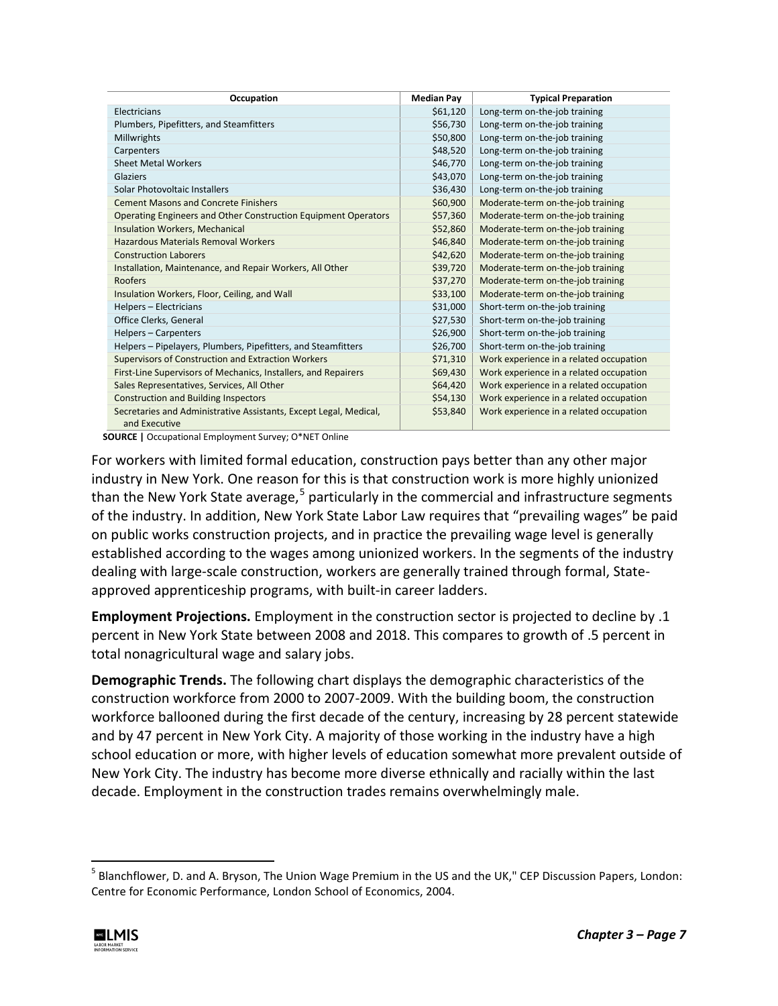| Occupation                                                                         | <b>Median Pay</b> | <b>Typical Preparation</b>              |
|------------------------------------------------------------------------------------|-------------------|-----------------------------------------|
| Electricians                                                                       | \$61,120          | Long-term on-the-job training           |
| Plumbers, Pipefitters, and Steamfitters                                            | \$56,730          | Long-term on-the-job training           |
| Millwrights                                                                        | \$50,800          | Long-term on-the-job training           |
| Carpenters                                                                         | \$48,520          | Long-term on-the-job training           |
| <b>Sheet Metal Workers</b>                                                         | \$46,770          | Long-term on-the-job training           |
| Glaziers                                                                           | \$43,070          | Long-term on-the-job training           |
| Solar Photovoltaic Installers                                                      | \$36,430          | Long-term on-the-job training           |
| <b>Cement Masons and Concrete Finishers</b>                                        | \$60,900          | Moderate-term on-the-job training       |
| Operating Engineers and Other Construction Equipment Operators                     | \$57,360          | Moderate-term on-the-job training       |
| <b>Insulation Workers, Mechanical</b>                                              | \$52,860          | Moderate-term on-the-job training       |
| Hazardous Materials Removal Workers                                                | \$46,840          | Moderate-term on-the-job training       |
| <b>Construction Laborers</b>                                                       | \$42,620          | Moderate-term on-the-job training       |
| Installation, Maintenance, and Repair Workers, All Other                           | \$39,720          | Moderate-term on-the-job training       |
| Roofers                                                                            | \$37,270          | Moderate-term on-the-job training       |
| Insulation Workers, Floor, Ceiling, and Wall                                       | \$33,100          | Moderate-term on-the-job training       |
| Helpers - Electricians                                                             | \$31,000          | Short-term on-the-job training          |
| Office Clerks, General                                                             | \$27,530          | Short-term on-the-job training          |
| Helpers - Carpenters                                                               | \$26,900          | Short-term on-the-job training          |
| Helpers - Pipelayers, Plumbers, Pipefitters, and Steamfitters                      | \$26,700          | Short-term on-the-job training          |
| <b>Supervisors of Construction and Extraction Workers</b>                          | \$71,310          | Work experience in a related occupation |
| First-Line Supervisors of Mechanics, Installers, and Repairers                     | \$69,430          | Work experience in a related occupation |
| Sales Representatives, Services, All Other                                         | \$64,420          | Work experience in a related occupation |
| <b>Construction and Building Inspectors</b>                                        | \$54,130          | Work experience in a related occupation |
| Secretaries and Administrative Assistants, Except Legal, Medical,<br>and Executive | \$53,840          | Work experience in a related occupation |

**SOURCE |** Occupational Employment Survey; O\*NET Online

For workers with limited formal education, construction pays better than any other major industry in New York. One reason for this is that construction work is more highly unionized than the New York State average,<sup>[5](#page-6-0)</sup> particularly in the commercial and infrastructure segments of the industry. In addition, New York State Labor Law requires that "prevailing wages" be paid on public works construction projects, and in practice the prevailing wage level is generally established according to the wages among unionized workers. In the segments of the industry dealing with large-scale construction, workers are generally trained through formal, Stateapproved apprenticeship programs, with built-in career ladders.

**Employment Projections.** Employment in the construction sector is projected to decline by .1 percent in New York State between 2008 and 2018. This compares to growth of .5 percent in total nonagricultural wage and salary jobs.

**Demographic Trends.** The following chart displays the demographic characteristics of the construction workforce from 2000 to 2007-2009. With the building boom, the construction workforce ballooned during the first decade of the century, increasing by 28 percent statewide and by 47 percent in New York City. A majority of those working in the industry have a high school education or more, with higher levels of education somewhat more prevalent outside of New York City. The industry has become more diverse ethnically and racially within the last decade. Employment in the construction trades remains overwhelmingly male.

<span id="page-6-0"></span><sup>&</sup>lt;sup>5</sup> Blanchflower, D. and A. Bryson, The Union Wage Premium in the US and the UK," CEP Discussion Papers, London: Centre for Economic Performance, London School of Economics, 2004.

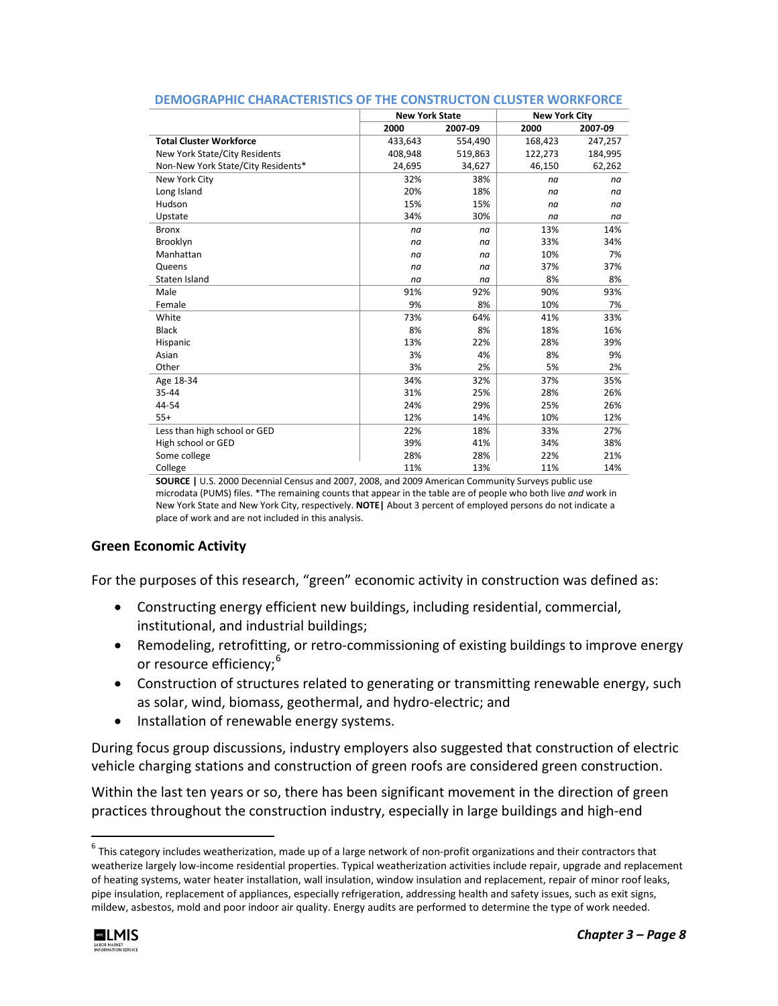|                                    | <b>New York State</b> |         | <b>New York City</b> |         |
|------------------------------------|-----------------------|---------|----------------------|---------|
|                                    | 2000                  | 2007-09 | 2000                 | 2007-09 |
| <b>Total Cluster Workforce</b>     | 433,643               | 554,490 | 168,423              | 247,257 |
| New York State/City Residents      | 408.948               | 519,863 | 122,273              | 184,995 |
| Non-New York State/City Residents* | 24,695                | 34,627  | 46,150               | 62,262  |
| New York City                      | 32%                   | 38%     | na                   | na      |
| Long Island                        | 20%                   | 18%     | na                   | na      |
| Hudson                             | 15%                   | 15%     | na                   | na      |
| Upstate                            | 34%                   | 30%     | na                   | na      |
| <b>Bronx</b>                       | na                    | na      | 13%                  | 14%     |
| Brooklyn                           | na                    | na      | 33%                  | 34%     |
| Manhattan                          | na                    | na      | 10%                  | 7%      |
| Queens                             | na                    | na      | 37%                  | 37%     |
| Staten Island                      | na                    | na      | 8%                   | 8%      |
| Male                               | 91%                   | 92%     | 90%                  | 93%     |
| Female                             | 9%                    | 8%      | 10%                  | 7%      |
| White                              | 73%                   | 64%     | 41%                  | 33%     |
| <b>Black</b>                       | 8%                    | 8%      | 18%                  | 16%     |
| Hispanic                           | 13%                   | 22%     | 28%                  | 39%     |
| Asian                              | 3%                    | 4%      | 8%                   | 9%      |
| Other                              | 3%                    | 2%      | 5%                   | 2%      |
| Age 18-34                          | 34%                   | 32%     | 37%                  | 35%     |
| 35-44                              | 31%                   | 25%     | 28%                  | 26%     |
| 44-54                              | 24%                   | 29%     | 25%                  | 26%     |
| $55+$                              | 12%                   | 14%     | 10%                  | 12%     |
| Less than high school or GED       | 22%                   | 18%     | 33%                  | 27%     |
| High school or GED                 | 39%                   | 41%     | 34%                  | 38%     |
| Some college                       | 28%                   | 28%     | 22%                  | 21%     |
| College                            | 11%                   | 13%     | 11%                  | 14%     |

#### **DEMOGRAPHIC CHARACTERISTICS OF THE CONSTRUCTON CLUSTER WORKFORCE**

**SOURCE |** U.S. 2000 Decennial Census and 2007, 2008, and 2009 American Community Surveys public use microdata (PUMS) files. \*The remaining counts that appear in the table are of people who both live *and* work in New York State and New York City, respectively. **NOTE|** About 3 percent of employed persons do not indicate a place of work and are not included in this analysis.

#### **Green Economic Activity**

For the purposes of this research, "green" economic activity in construction was defined as:

- Constructing energy efficient new buildings, including residential, commercial, institutional, and industrial buildings;
- Remodeling, retrofitting, or retro-commissioning of existing buildings to improve energy or resource efficiency;<sup>[6](#page-7-0)</sup>
- Construction of structures related to generating or transmitting renewable energy, such as solar, wind, biomass, geothermal, and hydro-electric; and
- Installation of renewable energy systems.

During focus group discussions, industry employers also suggested that construction of electric vehicle charging stations and construction of green roofs are considered green construction.

Within the last ten years or so, there has been significant movement in the direction of green practices throughout the construction industry, especially in large buildings and high-end

<span id="page-7-0"></span> $6$  This category includes weatherization, made up of a large network of non-profit organizations and their contractors that weatherize largely low-income residential properties. Typical weatherization activities include repair, upgrade and replacement of heating systems, water heater installation, wall insulation, window insulation and replacement, repair of minor roof leaks, pipe insulation, replacement of appliances, especially refrigeration, addressing health and safety issues, such as exit signs, mildew, asbestos, mold and poor indoor air quality. Energy audits are performed to determine the type of work needed.

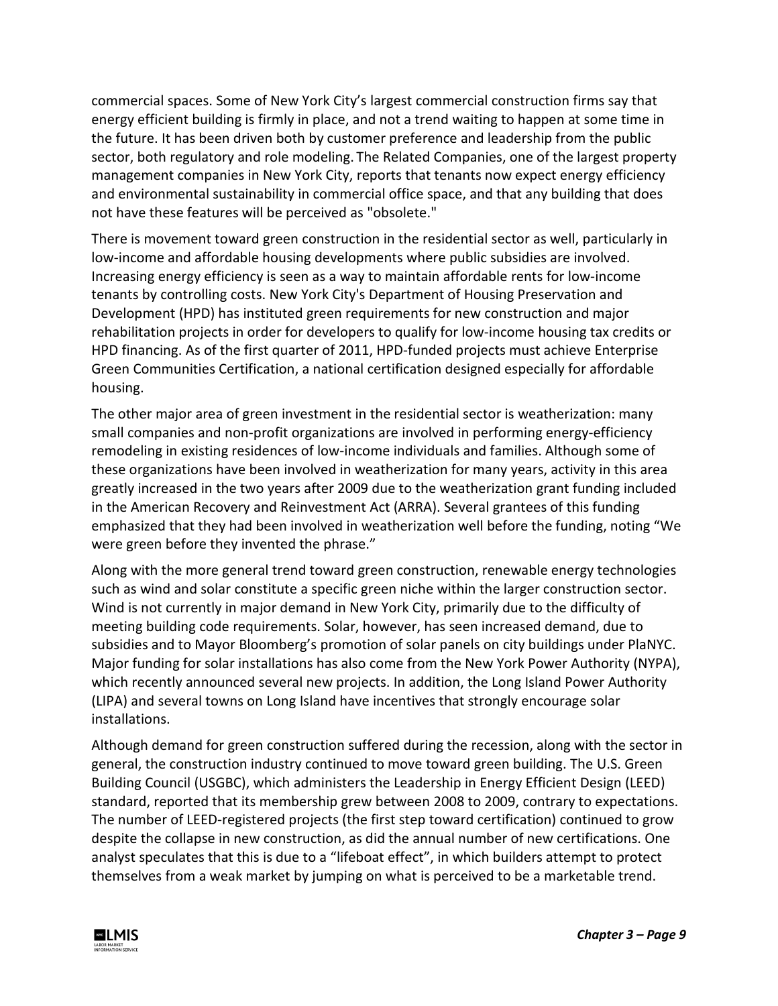commercial spaces. Some of New York City's largest commercial construction firms say that energy efficient building is firmly in place, and not a trend waiting to happen at some time in the future. It has been driven both by customer preference and leadership from the public sector, both regulatory and role modeling. The Related Companies, one of the largest property management companies in New York City, reports that tenants now expect energy efficiency and environmental sustainability in commercial office space, and that any building that does not have these features will be perceived as "obsolete."

There is movement toward green construction in the residential sector as well, particularly in low-income and affordable housing developments where public subsidies are involved. Increasing energy efficiency is seen as a way to maintain affordable rents for low-income tenants by controlling costs. New York City's Department of Housing Preservation and Development (HPD) has instituted green requirements for new construction and major rehabilitation projects in order for developers to qualify for low-income housing tax credits or HPD financing. As of the first quarter of 2011, HPD-funded projects must achieve Enterprise Green Communities Certification, a national certification designed especially for affordable housing.

The other major area of green investment in the residential sector is weatherization: many small companies and non-profit organizations are involved in performing energy-efficiency remodeling in existing residences of low-income individuals and families. Although some of these organizations have been involved in weatherization for many years, activity in this area greatly increased in the two years after 2009 due to the weatherization grant funding included in the American Recovery and Reinvestment Act (ARRA). Several grantees of this funding emphasized that they had been involved in weatherization well before the funding, noting "We were green before they invented the phrase."

Along with the more general trend toward green construction, renewable energy technologies such as wind and solar constitute a specific green niche within the larger construction sector. Wind is not currently in major demand in New York City, primarily due to the difficulty of meeting building code requirements. Solar, however, has seen increased demand, due to subsidies and to Mayor Bloomberg's promotion of solar panels on city buildings under PlaNYC. Major funding for solar installations has also come from the New York Power Authority (NYPA), which recently announced several new projects. In addition, the Long Island Power Authority (LIPA) and several towns on Long Island have incentives that strongly encourage solar installations.

Although demand for green construction suffered during the recession, along with the sector in general, the construction industry continued to move toward green building. The U.S. Green Building Council (USGBC), which administers the Leadership in Energy Efficient Design (LEED) standard, reported that its membership grew between 2008 to 2009, contrary to expectations. The number of LEED-registered projects (the first step toward certification) continued to grow despite the collapse in new construction, as did the annual number of new certifications. One analyst speculates that this is due to a "lifeboat effect", in which builders attempt to protect themselves from a weak market by jumping on what is perceived to be a marketable trend.

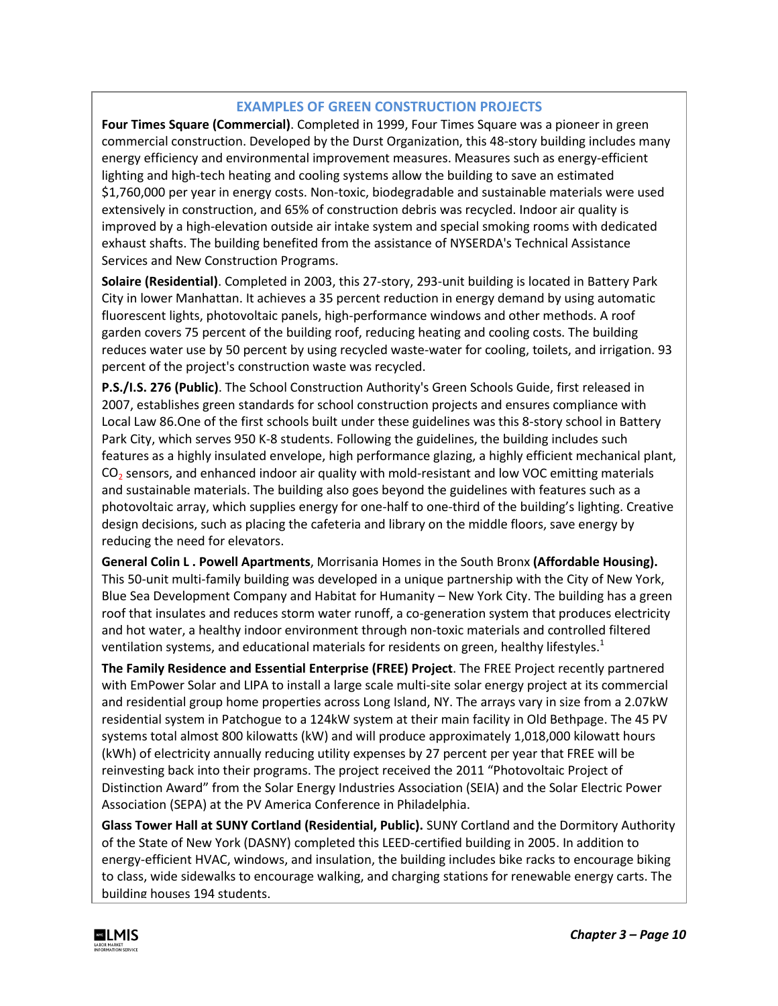### **EXAMPLES OF GREEN CONSTRUCTION PROJECTS**

**Four Times Square (Commercial)**. Completed in 1999, Four Times Square was a pioneer in green commercial construction. Developed by the Durst Organization, this 48-story building includes many energy efficiency and environmental improvement measures. Measures such as energy-efficient lighting and high-tech heating and cooling systems allow the building to save an estimated \$1,760,000 per year in energy costs. Non-toxic, biodegradable and sustainable materials were used extensively in construction, and 65% of construction debris was recycled. Indoor air quality is improved by a high-elevation outside air intake system and special smoking rooms with dedicated exhaust shafts. The building benefited from the assistance of NYSERDA's Technical Assistance Services and New Construction Programs.

**Solaire (Residential)**. Completed in 2003, this 27-story, 293-unit building is located in Battery Park City in lower Manhattan. It achieves a 35 percent reduction in energy demand by using automatic fluorescent lights, photovoltaic panels, high-performance windows and other methods. A roof garden covers 75 percent of the building roof, reducing heating and cooling costs. The building reduces water use by 50 percent by using recycled waste-water for cooling, toilets, and irrigation. 93 percent of the project's construction waste was recycled.

**P.S./I.S. 276 (Public)**. The School Construction Authority's Green Schools Guide, first released in 2007, establishes green standards for school construction projects and ensures compliance with Local Law 86.One of the first schools built under these guidelines was this 8-story school in Battery Park City, which serves 950 K-8 students. Following the guidelines, the building includes such features as a highly insulated envelope, high performance glazing, a highly efficient mechanical plant,  $CO<sub>2</sub>$  sensors, and enhanced indoor air quality with mold-resistant and low VOC emitting materials and sustainable materials. The building also goes beyond the guidelines with features such as a photovoltaic array, which supplies energy for one-half to one-third of the building's lighting. Creative design decisions, such as placing the cafeteria and library on the middle floors, save energy by reducing the need for elevators.

**General Colin L . Powell Apartments**, Morrisania Homes in the South Bronx **(Affordable Housing).**  This 50-unit multi-family building was developed in a unique partnership with the City of New York, Blue Sea Development Company and Habitat for Humanity – New York City. The building has a green roof that insulates and reduces storm water runoff, a co-generation system that produces electricity and hot water, a healthy indoor environment through non-toxic materials and controlled filtered ventilation systems, and educational materials for residents on green, healthy lifestyles. $1$ 

**The Family Residence and Essential Enterprise (FREE) Project**. The FREE Project recently partnered with EmPower Solar and LIPA to install a large scale multi-site solar energy project at its commercial and residential group home properties across Long Island, NY. The arrays vary in size from a 2.07kW residential system in Patchogue to a 124kW system at their main facility in Old Bethpage. The 45 PV systems total almost 800 kilowatts (kW) and will produce approximately 1,018,000 kilowatt hours (kWh) of electricity annually reducing utility expenses by 27 percent per year that FREE will be reinvesting back into their programs. The project received the 2011 "Photovoltaic Project of Distinction Award" from the Solar Energy Industries Association (SEIA) and the Solar Electric Power Association (SEPA) at the PV America Conference in Philadelphia.

**Glass Tower Hall at SUNY Cortland (Residential, Public).** SUNY Cortland and the Dormitory Authority of the State of New York (DASNY) completed this LEED-certified building in 2005. In addition to energy-efficient HVAC, windows, and insulation, the building includes bike racks to encourage biking to class, wide sidewalks to encourage walking, and charging stations for renewable energy carts. The building houses 194 students.

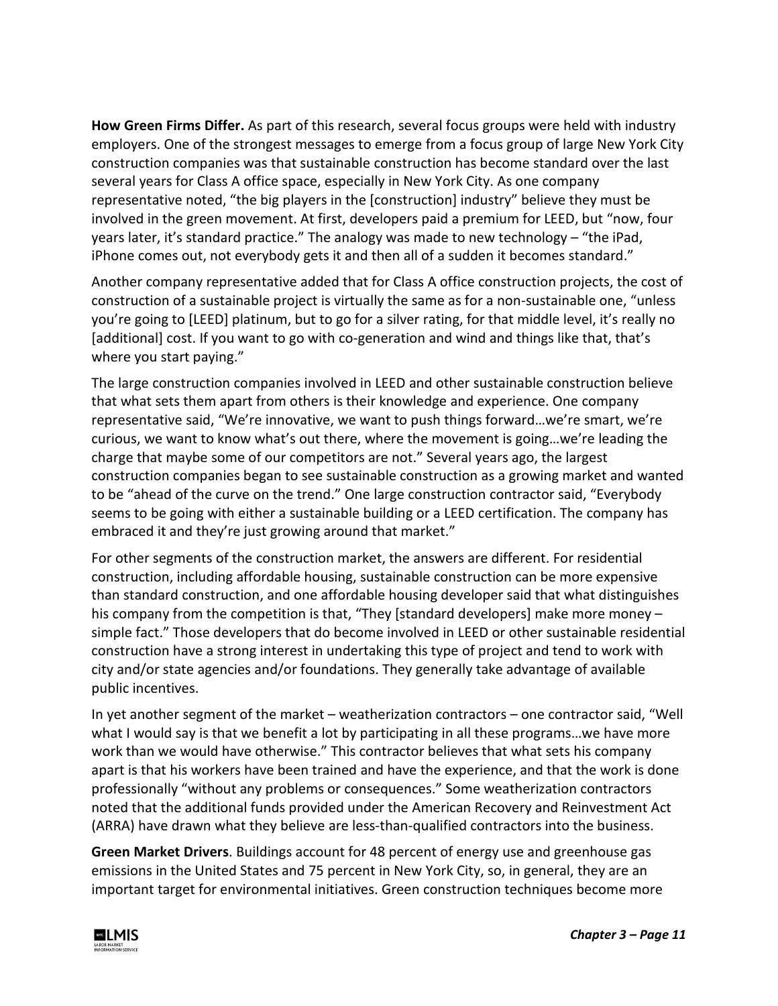**How Green Firms Differ.** As part of this research, several focus groups were held with industry employers. One of the strongest messages to emerge from a focus group of large New York City construction companies was that sustainable construction has become standard over the last several years for Class A office space, especially in New York City. As one company representative noted, "the big players in the [construction] industry" believe they must be involved in the green movement. At first, developers paid a premium for LEED, but "now, four years later, it's standard practice." The analogy was made to new technology – "the iPad, iPhone comes out, not everybody gets it and then all of a sudden it becomes standard."

Another company representative added that for Class A office construction projects, the cost of construction of a sustainable project is virtually the same as for a non-sustainable one, "unless you're going to [LEED] platinum, but to go for a silver rating, for that middle level, it's really no [additional] cost. If you want to go with co-generation and wind and things like that, that's where you start paying."

The large construction companies involved in LEED and other sustainable construction believe that what sets them apart from others is their knowledge and experience. One company representative said, "We're innovative, we want to push things forward…we're smart, we're curious, we want to know what's out there, where the movement is going…we're leading the charge that maybe some of our competitors are not." Several years ago, the largest construction companies began to see sustainable construction as a growing market and wanted to be "ahead of the curve on the trend." One large construction contractor said, "Everybody seems to be going with either a sustainable building or a LEED certification. The company has embraced it and they're just growing around that market."

For other segments of the construction market, the answers are different. For residential construction, including affordable housing, sustainable construction can be more expensive than standard construction, and one affordable housing developer said that what distinguishes his company from the competition is that, "They [standard developers] make more money – simple fact." Those developers that do become involved in LEED or other sustainable residential construction have a strong interest in undertaking this type of project and tend to work with city and/or state agencies and/or foundations. They generally take advantage of available public incentives.

In yet another segment of the market – weatherization contractors – one contractor said, "Well what I would say is that we benefit a lot by participating in all these programs...we have more work than we would have otherwise." This contractor believes that what sets his company apart is that his workers have been trained and have the experience, and that the work is done professionally "without any problems or consequences." Some weatherization contractors noted that the additional funds provided under the American Recovery and Reinvestment Act (ARRA) have drawn what they believe are less-than-qualified contractors into the business.

**Green Market Drivers**. Buildings account for 48 percent of energy use and greenhouse gas emissions in the United States and 75 percent in New York City, so, in general, they are an important target for environmental initiatives. Green construction techniques become more

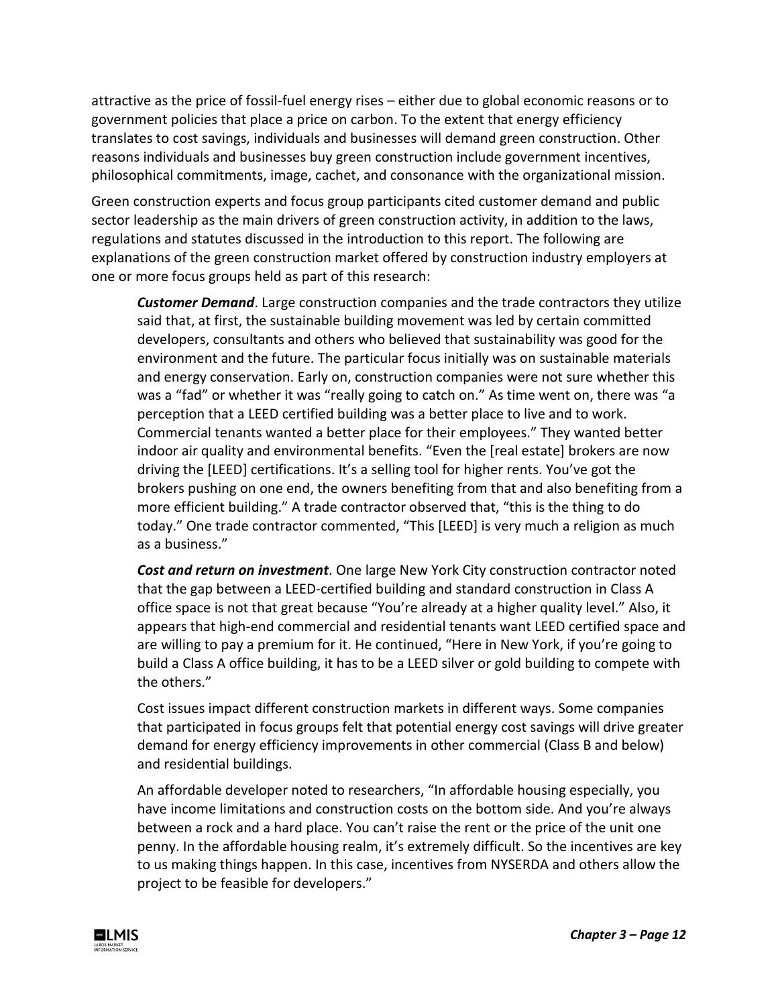attractive as the price of fossil-fuel energy rises – either due to global economic reasons or to government policies that place a price on carbon. To the extent that energy efficiency translates to cost savings, individuals and businesses will demand green construction. Other reasons individuals and businesses buy green construction include government incentives, philosophical commitments, image, cachet, and consonance with the organizational mission.

Green construction experts and focus group participants cited customer demand and public sector leadership as the main drivers of green construction activity, in addition to the laws, regulations and statutes discussed in the introduction to this report. The following are explanations of the green construction market offered by construction industry employers at one or more focus groups held as part of this research:

*Customer Demand*. Large construction companies and the trade contractors they utilize said that, at first, the sustainable building movement was led by certain committed developers, consultants and others who believed that sustainability was good for the environment and the future. The particular focus initially was on sustainable materials and energy conservation. Early on, construction companies were not sure whether this was a "fad" or whether it was "really going to catch on." As time went on, there was "a perception that a LEED certified building was a better place to live and to work. Commercial tenants wanted a better place for their employees." They wanted better indoor air quality and environmental benefits. "Even the [real estate] brokers are now driving the [LEED] certifications. It's a selling tool for higher rents. You've got the brokers pushing on one end, the owners benefiting from that and also benefiting from a more efficient building." A trade contractor observed that, "this is the thing to do today." One trade contractor commented, "This [LEED] is very much a religion as much as a business."

*Cost and return on investment*. One large New York City construction contractor noted that the gap between a LEED-certified building and standard construction in Class A office space is not that great because "You're already at a higher quality level." Also, it appears that high-end commercial and residential tenants want LEED certified space and are willing to pay a premium for it. He continued, "Here in New York, if you're going to build a Class A office building, it has to be a LEED silver or gold building to compete with the others."

Cost issues impact different construction markets in different ways. Some companies that participated in focus groups felt that potential energy cost savings will drive greater demand for energy efficiency improvements in other commercial (Class B and below) and residential buildings.

An affordable developer noted to researchers, "In affordable housing especially, you have income limitations and construction costs on the bottom side. And you're always between a rock and a hard place. You can't raise the rent or the price of the unit one penny. In the affordable housing realm, it's extremely difficult. So the incentives are key to us making things happen. In this case, incentives from NYSERDA and others allow the project to be feasible for developers."

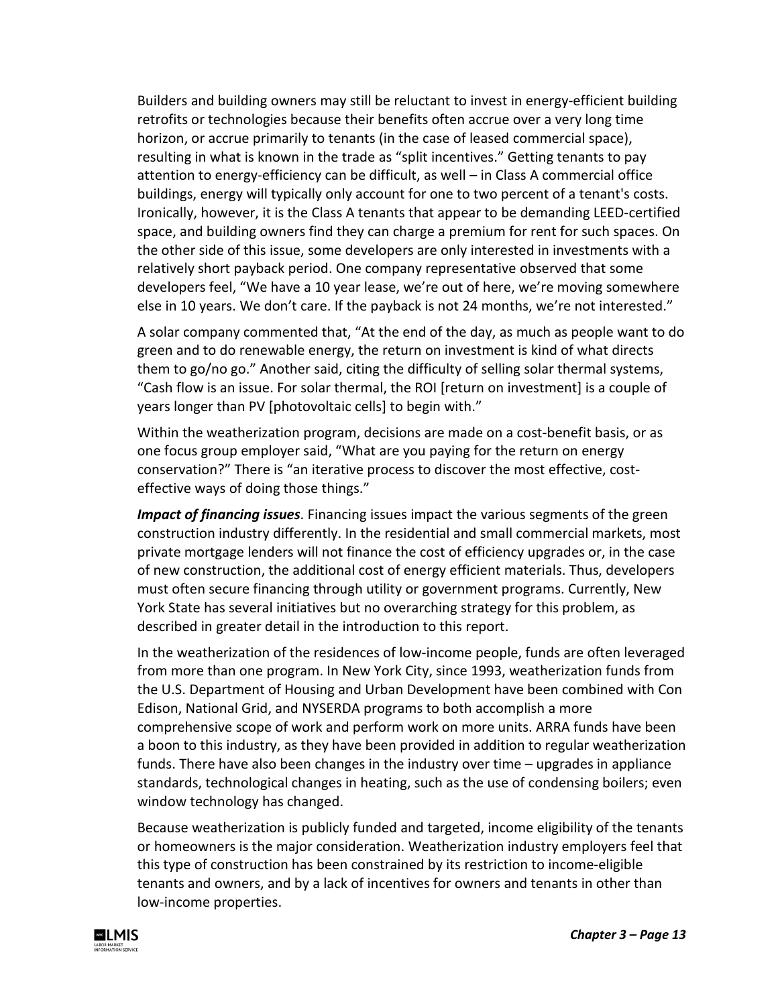Builders and building owners may still be reluctant to invest in energy-efficient building retrofits or technologies because their benefits often accrue over a very long time horizon, or accrue primarily to tenants (in the case of leased commercial space), resulting in what is known in the trade as "split incentives." Getting tenants to pay attention to energy-efficiency can be difficult, as well – in Class A commercial office buildings, energy will typically only account for one to two percent of a tenant's costs. Ironically, however, it is the Class A tenants that appear to be demanding LEED-certified space, and building owners find they can charge a premium for rent for such spaces. On the other side of this issue, some developers are only interested in investments with a relatively short payback period. One company representative observed that some developers feel, "We have a 10 year lease, we're out of here, we're moving somewhere else in 10 years. We don't care. If the payback is not 24 months, we're not interested."

A solar company commented that, "At the end of the day, as much as people want to do green and to do renewable energy, the return on investment is kind of what directs them to go/no go." Another said, citing the difficulty of selling solar thermal systems, "Cash flow is an issue. For solar thermal, the ROI [return on investment] is a couple of years longer than PV [photovoltaic cells] to begin with."

Within the weatherization program, decisions are made on a cost-benefit basis, or as one focus group employer said, "What are you paying for the return on energy conservation?" There is "an iterative process to discover the most effective, costeffective ways of doing those things."

*Impact of financing issues*. Financing issues impact the various segments of the green construction industry differently. In the residential and small commercial markets, most private mortgage lenders will not finance the cost of efficiency upgrades or, in the case of new construction, the additional cost of energy efficient materials. Thus, developers must often secure financing through utility or government programs. Currently, New York State has several initiatives but no overarching strategy for this problem, as described in greater detail in the introduction to this report.

In the weatherization of the residences of low-income people, funds are often leveraged from more than one program. In New York City, since 1993, weatherization funds from the U.S. Department of Housing and Urban Development have been combined with Con Edison, National Grid, and NYSERDA programs to both accomplish a more comprehensive scope of work and perform work on more units. ARRA funds have been a boon to this industry, as they have been provided in addition to regular weatherization funds. There have also been changes in the industry over time – upgrades in appliance standards, technological changes in heating, such as the use of condensing boilers; even window technology has changed.

Because weatherization is publicly funded and targeted, income eligibility of the tenants or homeowners is the major consideration. Weatherization industry employers feel that this type of construction has been constrained by its restriction to income-eligible tenants and owners, and by a lack of incentives for owners and tenants in other than low-income properties.

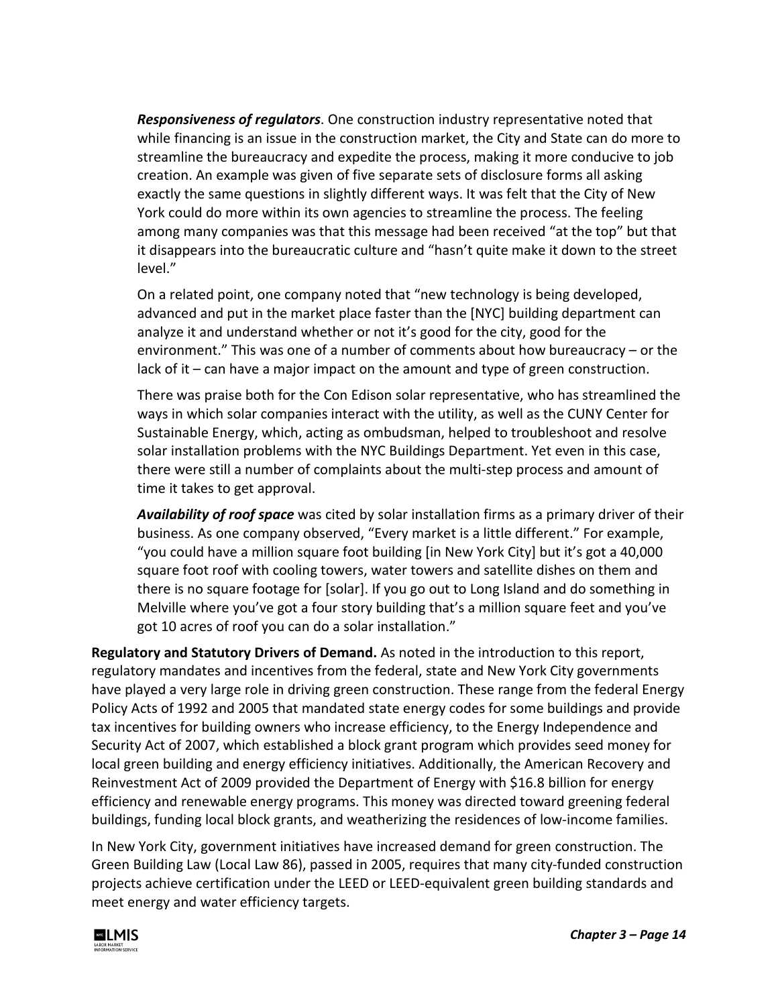*Responsiveness of regulators*. One construction industry representative noted that while financing is an issue in the construction market, the City and State can do more to streamline the bureaucracy and expedite the process, making it more conducive to job creation. An example was given of five separate sets of disclosure forms all asking exactly the same questions in slightly different ways. It was felt that the City of New York could do more within its own agencies to streamline the process. The feeling among many companies was that this message had been received "at the top" but that it disappears into the bureaucratic culture and "hasn't quite make it down to the street level."

On a related point, one company noted that "new technology is being developed, advanced and put in the market place faster than the [NYC] building department can analyze it and understand whether or not it's good for the city, good for the environment." This was one of a number of comments about how bureaucracy – or the lack of it – can have a major impact on the amount and type of green construction.

There was praise both for the Con Edison solar representative, who has streamlined the ways in which solar companies interact with the utility, as well as the CUNY Center for Sustainable Energy, which, acting as ombudsman, helped to troubleshoot and resolve solar installation problems with the NYC Buildings Department. Yet even in this case, there were still a number of complaints about the multi-step process and amount of time it takes to get approval.

*Availability of roof space* was cited by solar installation firms as a primary driver of their business. As one company observed, "Every market is a little different." For example, "you could have a million square foot building [in New York City] but it's got a 40,000 square foot roof with cooling towers, water towers and satellite dishes on them and there is no square footage for [solar]. If you go out to Long Island and do something in Melville where you've got a four story building that's a million square feet and you've got 10 acres of roof you can do a solar installation."

**Regulatory and Statutory Drivers of Demand.** As noted in the introduction to this report, regulatory mandates and incentives from the federal, state and New York City governments have played a very large role in driving green construction. These range from the federal Energy Policy Acts of 1992 and 2005 that mandated state energy codes for some buildings and provide tax incentives for building owners who increase efficiency, to the Energy Independence and Security Act of 2007, which established a block grant program which provides seed money for local green building and energy efficiency initiatives. Additionally, the American Recovery and Reinvestment Act of 2009 provided the Department of Energy with \$16.8 billion for energy efficiency and renewable energy programs. This money was directed toward greening federal buildings, funding local block grants, and weatherizing the residences of low-income families.

In New York City, government initiatives have increased demand for green construction. The Green Building Law (Local Law 86), passed in 2005, requires that many city-funded construction projects achieve certification under the LEED or LEED-equivalent green building standards and meet energy and water efficiency targets.

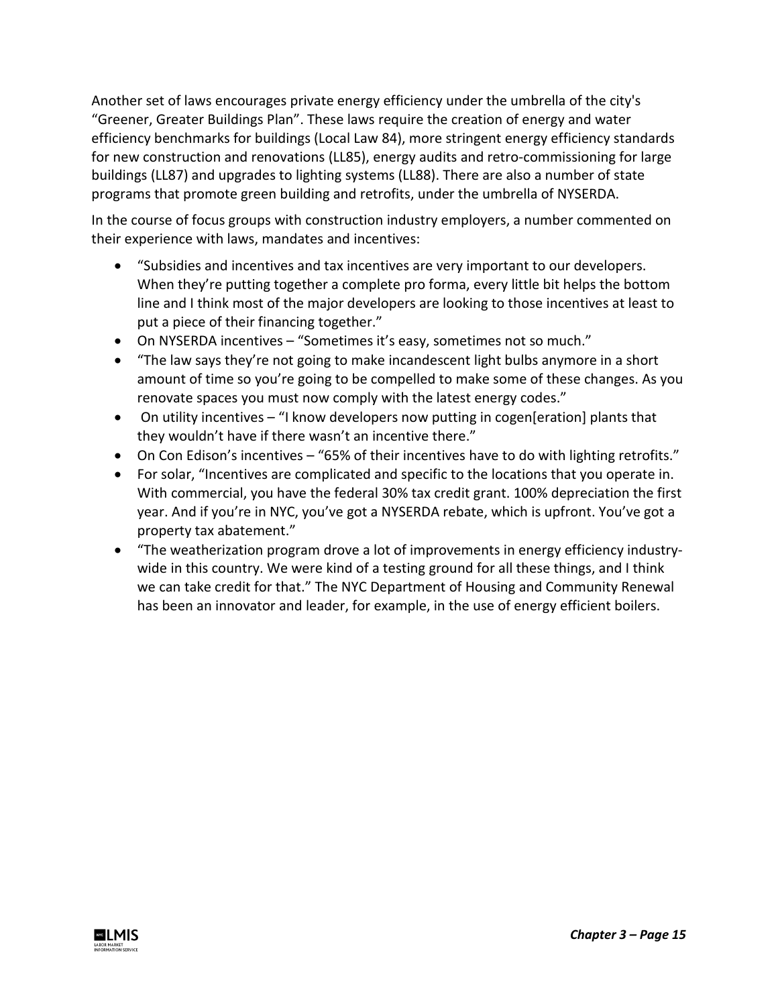Another set of laws encourages private energy efficiency under the umbrella of the city's "Greener, Greater Buildings Plan". These laws require the creation of energy and water efficiency benchmarks for buildings (Local Law 84), more stringent energy efficiency standards for new construction and renovations (LL85), energy audits and retro-commissioning for large buildings (LL87) and upgrades to lighting systems (LL88). There are also a number of state programs that promote green building and retrofits, under the umbrella of NYSERDA.

In the course of focus groups with construction industry employers, a number commented on their experience with laws, mandates and incentives:

- "Subsidies and incentives and tax incentives are very important to our developers. When they're putting together a complete pro forma, every little bit helps the bottom line and I think most of the major developers are looking to those incentives at least to put a piece of their financing together."
- On NYSERDA incentives "Sometimes it's easy, sometimes not so much."
- "The law says they're not going to make incandescent light bulbs anymore in a short amount of time so you're going to be compelled to make some of these changes. As you renovate spaces you must now comply with the latest energy codes."
- On utility incentives "I know developers now putting in cogen[eration] plants that they wouldn't have if there wasn't an incentive there."
- On Con Edison's incentives "65% of their incentives have to do with lighting retrofits."
- For solar, "Incentives are complicated and specific to the locations that you operate in. With commercial, you have the federal 30% tax credit grant. 100% depreciation the first year. And if you're in NYC, you've got a NYSERDA rebate, which is upfront. You've got a property tax abatement."
- "The weatherization program drove a lot of improvements in energy efficiency industrywide in this country. We were kind of a testing ground for all these things, and I think we can take credit for that." The NYC Department of Housing and Community Renewal has been an innovator and leader, for example, in the use of energy efficient boilers.

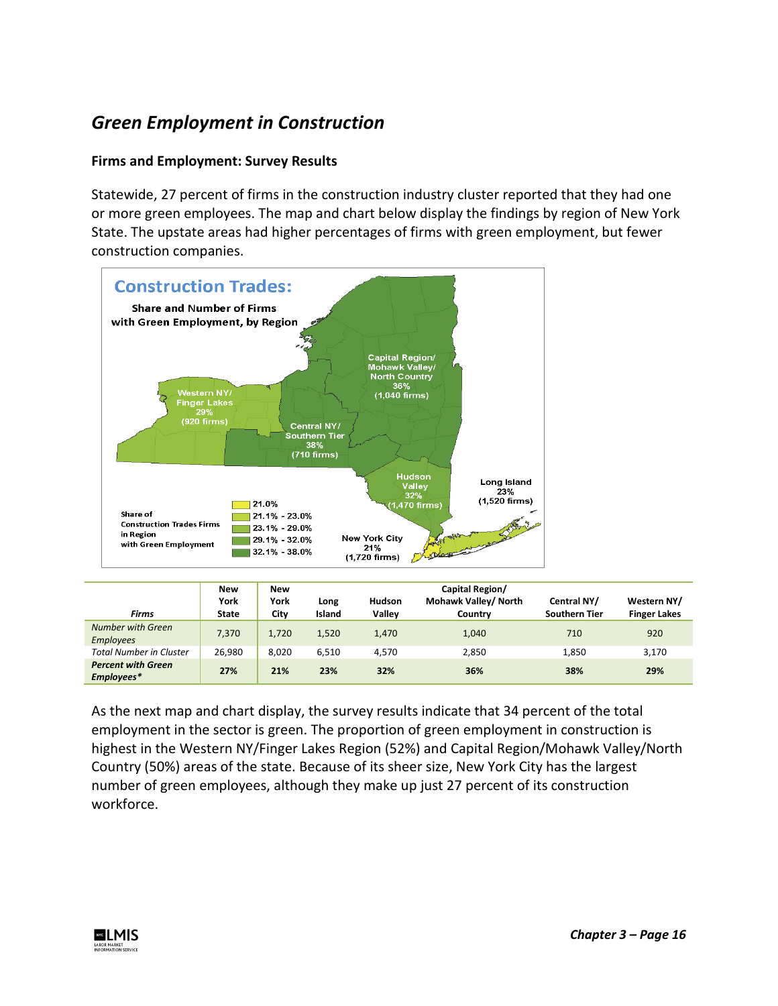# *Green Employment in Construction*

### **Firms and Employment: Survey Results**

Statewide, 27 percent of firms in the construction industry cluster reported that they had one or more green employees. The map and chart below display the findings by region of New York State. The upstate areas had higher percentages of firms with green employment, but fewer construction companies.



|                                         | <b>New</b>   | <b>New</b> |        |               | Capital Region/      |                      |                     |
|-----------------------------------------|--------------|------------|--------|---------------|----------------------|----------------------|---------------------|
|                                         | York         | York       | Long   | <b>Hudson</b> | Mohawk Valley/ North | Central NY/          | Western NY/         |
| <b>Firms</b>                            | <b>State</b> | City       | Island | Valley        | Country              | <b>Southern Tier</b> | <b>Finger Lakes</b> |
| Number with Green<br><b>Employees</b>   | 7,370        | 1,720      | 1,520  | 1,470         | 1,040                | 710                  | 920                 |
| <b>Total Number in Cluster</b>          | 26,980       | 8.020      | 6.510  | 4.570         | 2,850                | 1,850                | 3,170               |
| <b>Percent with Green</b><br>Employees* | 27%          | 21%        | 23%    | 32%           | 36%                  | 38%                  | 29%                 |

As the next map and chart display, the survey results indicate that 34 percent of the total employment in the sector is green. The proportion of green employment in construction is highest in the Western NY/Finger Lakes Region (52%) and Capital Region/Mohawk Valley/North Country (50%) areas of the state. Because of its sheer size, New York City has the largest number of green employees, although they make up just 27 percent of its construction workforce.

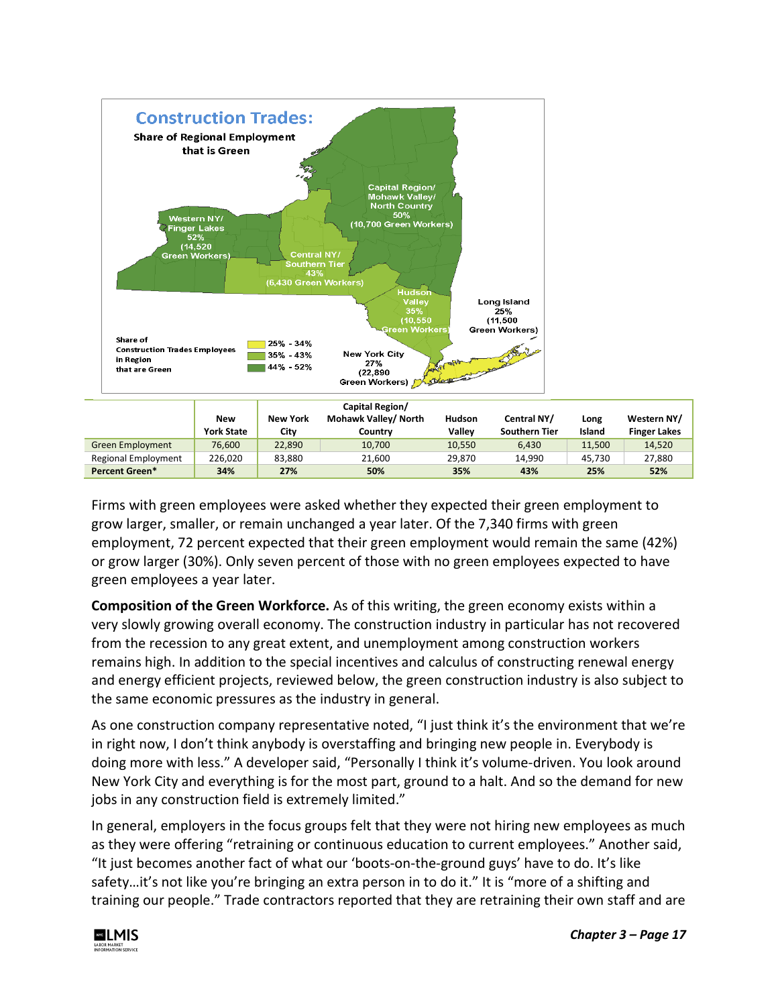

|                         |                   |                 | Capital Region/      |        |                      |        |                     |
|-------------------------|-------------------|-----------------|----------------------|--------|----------------------|--------|---------------------|
|                         | <b>New</b>        | <b>New York</b> | Mohawk Valley/ North | Hudson | Central NY/          | Long   | Western NY/         |
|                         | <b>York State</b> | City            | Country              | Vallev | <b>Southern Tier</b> | Island | <b>Finger Lakes</b> |
| <b>Green Employment</b> | 76.600            | 22.890          | 10,700               | 10,550 | 6.430                | 11.500 | 14.520              |
| Regional Employment     | 226.020           | 83.880          | 21.600               | 29.870 | 14.990               | 45.730 | 27.880              |
| Percent Green*          | 34%               | 27%             | 50%                  | 35%    | 43%                  | 25%    | 52%                 |

Firms with green employees were asked whether they expected their green employment to grow larger, smaller, or remain unchanged a year later. Of the 7,340 firms with green employment, 72 percent expected that their green employment would remain the same (42%) or grow larger (30%). Only seven percent of those with no green employees expected to have green employees a year later.

**Composition of the Green Workforce.** As of this writing, the green economy exists within a very slowly growing overall economy. The construction industry in particular has not recovered from the recession to any great extent, and unemployment among construction workers remains high. In addition to the special incentives and calculus of constructing renewal energy and energy efficient projects, reviewed below, the green construction industry is also subject to the same economic pressures as the industry in general.

As one construction company representative noted, "I just think it's the environment that we're in right now, I don't think anybody is overstaffing and bringing new people in. Everybody is doing more with less." A developer said, "Personally I think it's volume-driven. You look around New York City and everything is for the most part, ground to a halt. And so the demand for new jobs in any construction field is extremely limited."

In general, employers in the focus groups felt that they were not hiring new employees as much as they were offering "retraining or continuous education to current employees." Another said, "It just becomes another fact of what our 'boots-on-the-ground guys' have to do. It's like safety…it's not like you're bringing an extra person in to do it." It is "more of a shifting and training our people." Trade contractors reported that they are retraining their own staff and are

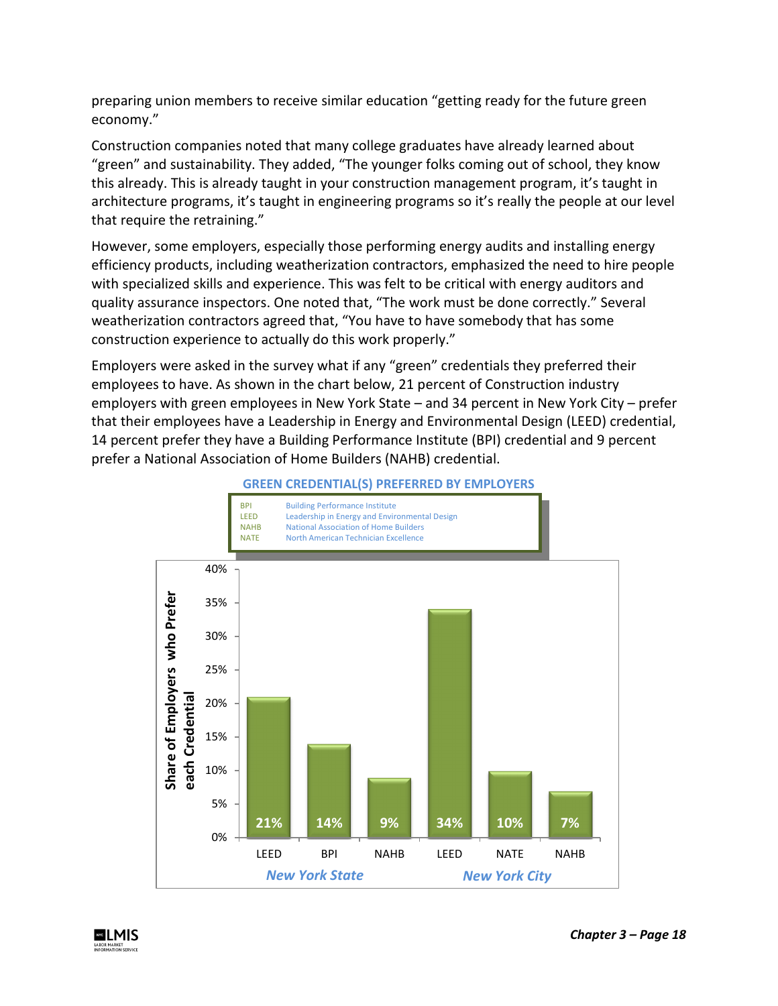preparing union members to receive similar education "getting ready for the future green economy."

Construction companies noted that many college graduates have already learned about "green" and sustainability. They added, "The younger folks coming out of school, they know this already. This is already taught in your construction management program, it's taught in architecture programs, it's taught in engineering programs so it's really the people at our level that require the retraining."

However, some employers, especially those performing energy audits and installing energy efficiency products, including weatherization contractors, emphasized the need to hire people with specialized skills and experience. This was felt to be critical with energy auditors and quality assurance inspectors. One noted that, "The work must be done correctly." Several weatherization contractors agreed that, "You have to have somebody that has some construction experience to actually do this work properly."

Employers were asked in the survey what if any "green" credentials they preferred their employees to have. As shown in the chart below, 21 percent of Construction industry employers with green employees in New York State – and 34 percent in New York City – prefer that their employees have a Leadership in Energy and Environmental Design (LEED) credential, 14 percent prefer they have a Building Performance Institute (BPI) credential and 9 percent prefer a National Association of Home Builders (NAHB) credential.



**GREEN CREDENTIAL(S) PREFERRED BY EMPLOYERS**

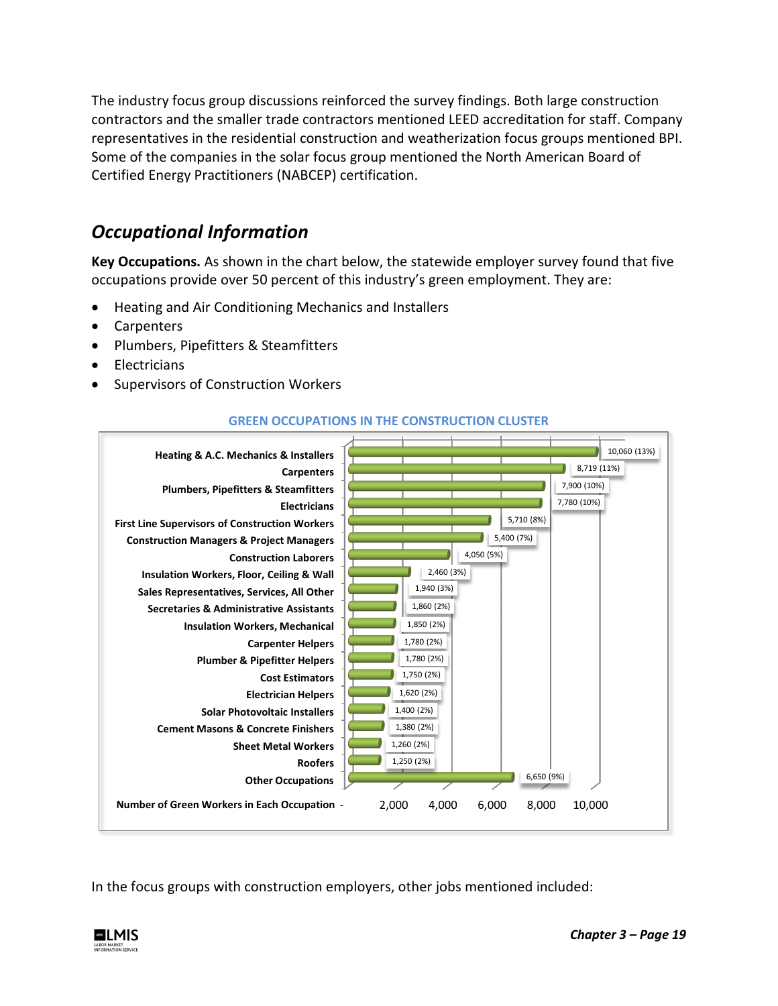The industry focus group discussions reinforced the survey findings. Both large construction contractors and the smaller trade contractors mentioned LEED accreditation for staff. Company representatives in the residential construction and weatherization focus groups mentioned BPI. Some of the companies in the solar focus group mentioned the North American Board of Certified Energy Practitioners (NABCEP) certification.

# *Occupational Information*

**Key Occupations.** As shown in the chart below, the statewide employer survey found that five occupations provide over 50 percent of this industry's green employment. They are:

- Heating and Air Conditioning Mechanics and Installers
- **Carpenters**
- Plumbers, Pipefitters & Steamfitters
- Electricians
- Supervisors of Construction Workers



### **GREEN OCCUPATIONS IN THE CONSTRUCTION CLUSTER**

In the focus groups with construction employers, other jobs mentioned included:

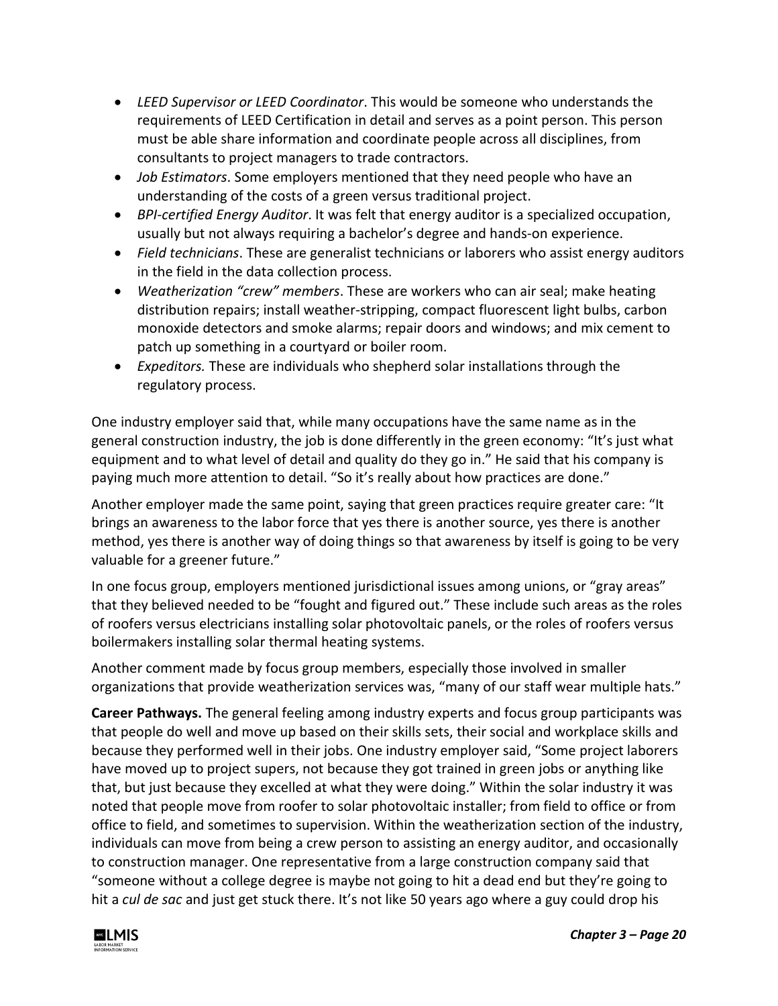- *LEED Supervisor or LEED Coordinator*. This would be someone who understands the requirements of LEED Certification in detail and serves as a point person. This person must be able share information and coordinate people across all disciplines, from consultants to project managers to trade contractors.
- *Job Estimators*. Some employers mentioned that they need people who have an understanding of the costs of a green versus traditional project.
- *BPI-certified Energy Auditor*. It was felt that energy auditor is a specialized occupation, usually but not always requiring a bachelor's degree and hands-on experience.
- *Field technicians*. These are generalist technicians or laborers who assist energy auditors in the field in the data collection process.
- *Weatherization "crew" members*. These are workers who can air seal; make heating distribution repairs; install weather-stripping, compact fluorescent light bulbs, carbon monoxide detectors and smoke alarms; repair doors and windows; and mix cement to patch up something in a courtyard or boiler room.
- *Expeditors.* These are individuals who shepherd solar installations through the regulatory process.

One industry employer said that, while many occupations have the same name as in the general construction industry, the job is done differently in the green economy: "It's just what equipment and to what level of detail and quality do they go in." He said that his company is paying much more attention to detail. "So it's really about how practices are done."

Another employer made the same point, saying that green practices require greater care: "It brings an awareness to the labor force that yes there is another source, yes there is another method, yes there is another way of doing things so that awareness by itself is going to be very valuable for a greener future."

In one focus group, employers mentioned jurisdictional issues among unions, or "gray areas" that they believed needed to be "fought and figured out." These include such areas as the roles of roofers versus electricians installing solar photovoltaic panels, or the roles of roofers versus boilermakers installing solar thermal heating systems.

Another comment made by focus group members, especially those involved in smaller organizations that provide weatherization services was, "many of our staff wear multiple hats."

**Career Pathways.** The general feeling among industry experts and focus group participants was that people do well and move up based on their skills sets, their social and workplace skills and because they performed well in their jobs. One industry employer said, "Some project laborers have moved up to project supers, not because they got trained in green jobs or anything like that, but just because they excelled at what they were doing." Within the solar industry it was noted that people move from roofer to solar photovoltaic installer; from field to office or from office to field, and sometimes to supervision. Within the weatherization section of the industry, individuals can move from being a crew person to assisting an energy auditor, and occasionally to construction manager. One representative from a large construction company said that "someone without a college degree is maybe not going to hit a dead end but they're going to hit a *cul de sac* and just get stuck there. It's not like 50 years ago where a guy could drop his

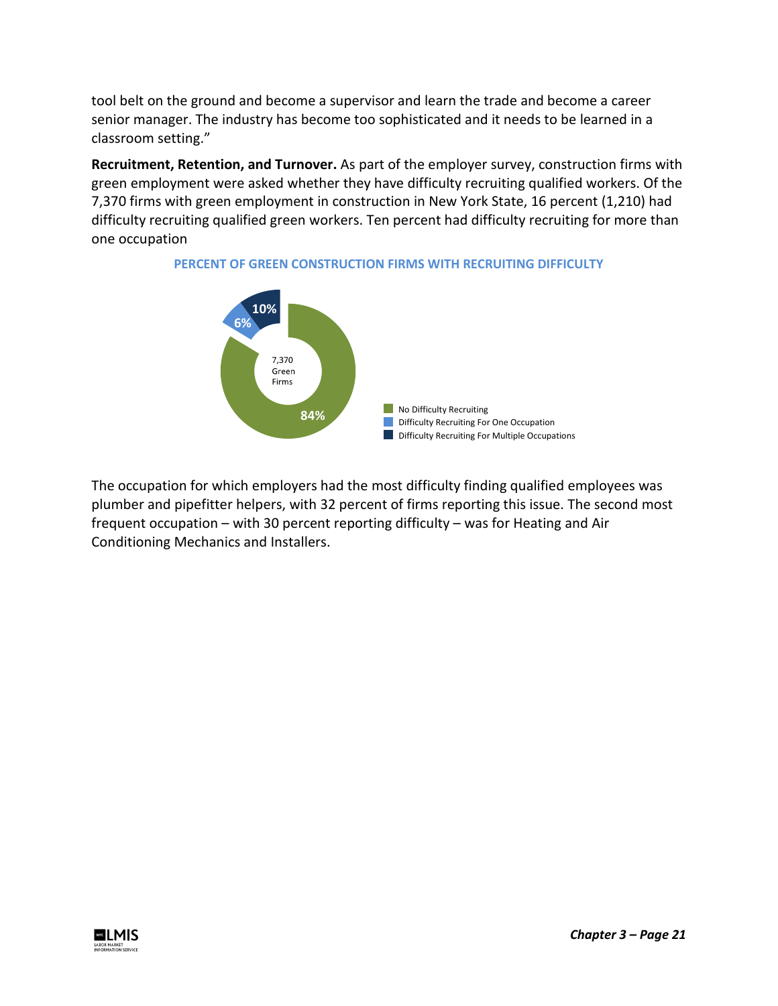tool belt on the ground and become a supervisor and learn the trade and become a career senior manager. The industry has become too sophisticated and it needs to be learned in a classroom setting."

**Recruitment, Retention, and Turnover.** As part of the employer survey, construction firms with green employment were asked whether they have difficulty recruiting qualified workers. Of the 7,370 firms with green employment in construction in New York State, 16 percent (1,210) had difficulty recruiting qualified green workers. Ten percent had difficulty recruiting for more than one occupation



### **PERCENT OF GREEN CONSTRUCTION FIRMS WITH RECRUITING DIFFICULTY**

The occupation for which employers had the most difficulty finding qualified employees was plumber and pipefitter helpers, with 32 percent of firms reporting this issue. The second most frequent occupation – with 30 percent reporting difficulty – was for Heating and Air Conditioning Mechanics and Installers.

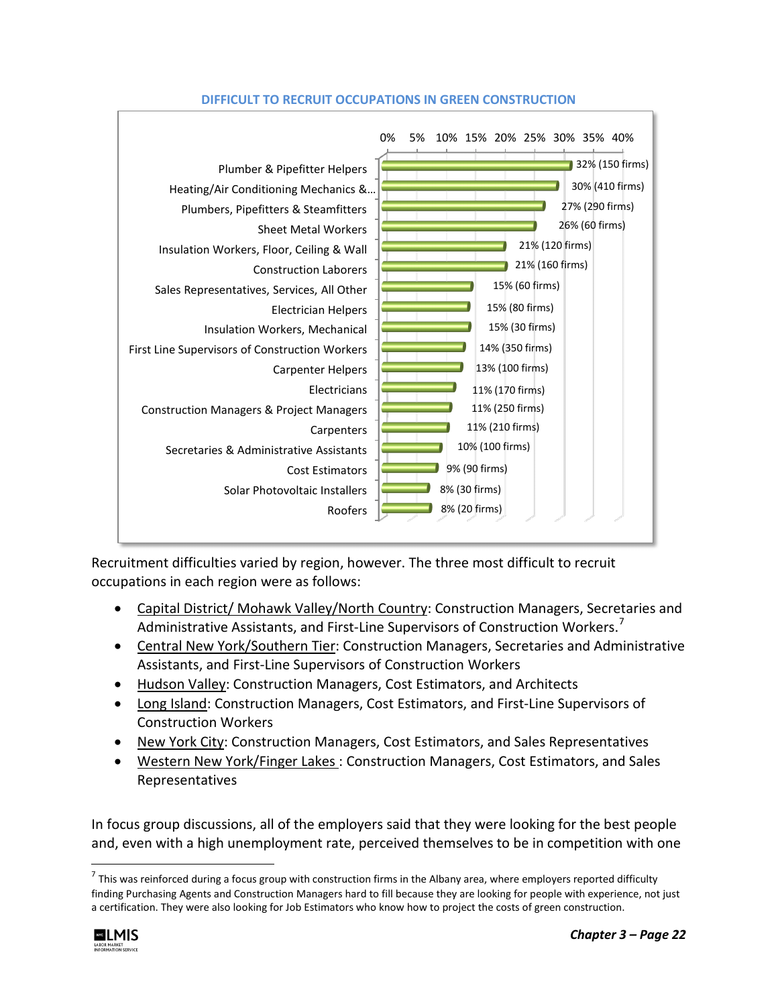

### **DIFFICULT TO RECRUIT OCCUPATIONS IN GREEN CONSTRUCTION**

Recruitment difficulties varied by region, however. The three most difficult to recruit occupations in each region were as follows:

- Capital District/ Mohawk Valley/North Country: Construction Managers, Secretaries and Administrative Assistants, and First-Line Supervisors of Construction Workers.<sup>[7](#page-21-0)</sup>
- Central New York/Southern Tier: Construction Managers, Secretaries and Administrative Assistants, and First-Line Supervisors of Construction Workers
- Hudson Valley: Construction Managers, Cost Estimators, and Architects
- Long Island: Construction Managers, Cost Estimators, and First-Line Supervisors of Construction Workers
- New York City: Construction Managers, Cost Estimators, and Sales Representatives
- Western New York/Finger Lakes : Construction Managers, Cost Estimators, and Sales Representatives

In focus group discussions, all of the employers said that they were looking for the best people and, even with a high unemployment rate, perceived themselves to be in competition with one

<span id="page-21-0"></span> $^7$  This was reinforced during a focus group with construction firms in the Albany area, where employers reported difficulty finding Purchasing Agents and Construction Managers hard to fill because they are looking for people with experience, not just a certification. They were also looking for Job Estimators who know how to project the costs of green construction.

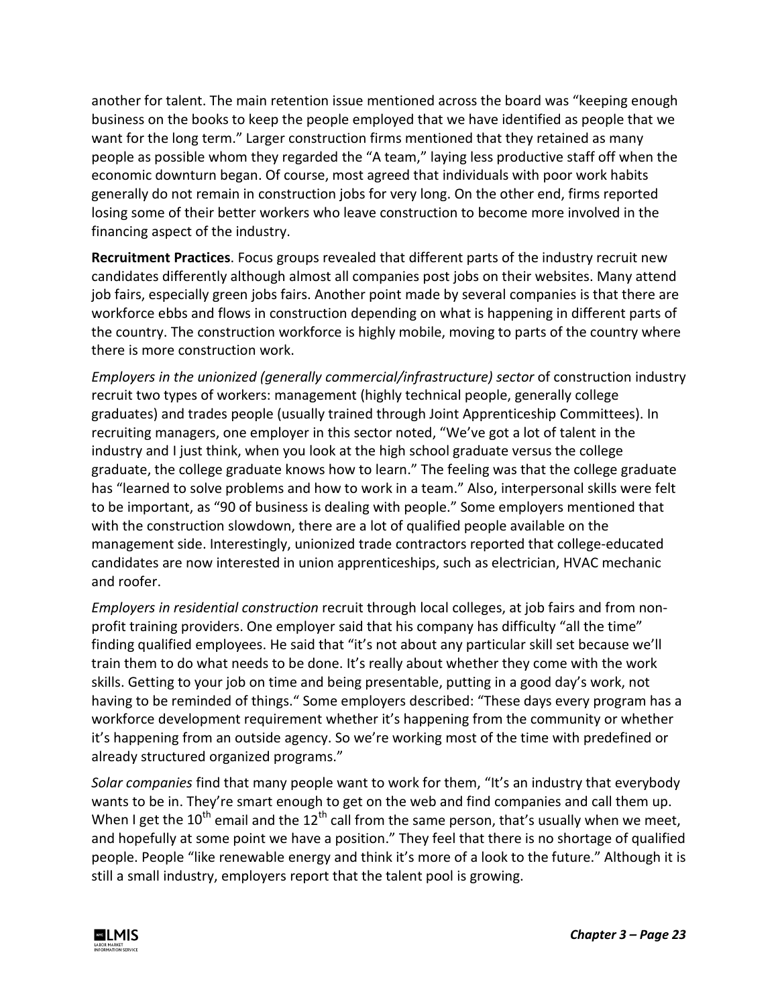another for talent. The main retention issue mentioned across the board was "keeping enough business on the books to keep the people employed that we have identified as people that we want for the long term." Larger construction firms mentioned that they retained as many people as possible whom they regarded the "A team," laying less productive staff off when the economic downturn began. Of course, most agreed that individuals with poor work habits generally do not remain in construction jobs for very long. On the other end, firms reported losing some of their better workers who leave construction to become more involved in the financing aspect of the industry.

**Recruitment Practices**. Focus groups revealed that different parts of the industry recruit new candidates differently although almost all companies post jobs on their websites. Many attend job fairs, especially green jobs fairs. Another point made by several companies is that there are workforce ebbs and flows in construction depending on what is happening in different parts of the country. The construction workforce is highly mobile, moving to parts of the country where there is more construction work.

*Employers in the unionized (generally commercial/infrastructure) sector* of construction industry recruit two types of workers: management (highly technical people, generally college graduates) and trades people (usually trained through Joint Apprenticeship Committees). In recruiting managers, one employer in this sector noted, "We've got a lot of talent in the industry and I just think, when you look at the high school graduate versus the college graduate, the college graduate knows how to learn." The feeling was that the college graduate has "learned to solve problems and how to work in a team." Also, interpersonal skills were felt to be important, as "90 of business is dealing with people." Some employers mentioned that with the construction slowdown, there are a lot of qualified people available on the management side. Interestingly, unionized trade contractors reported that college-educated candidates are now interested in union apprenticeships, such as electrician, HVAC mechanic and roofer.

*Employers in residential construction* recruit through local colleges, at job fairs and from nonprofit training providers. One employer said that his company has difficulty "all the time" finding qualified employees. He said that "it's not about any particular skill set because we'll train them to do what needs to be done. It's really about whether they come with the work skills. Getting to your job on time and being presentable, putting in a good day's work, not having to be reminded of things." Some employers described: "These days every program has a workforce development requirement whether it's happening from the community or whether it's happening from an outside agency. So we're working most of the time with predefined or already structured organized programs."

*Solar companies* find that many people want to work for them, "It's an industry that everybody wants to be in. They're smart enough to get on the web and find companies and call them up. When I get the 10<sup>th</sup> email and the 12<sup>th</sup> call from the same person, that's usually when we meet, and hopefully at some point we have a position." They feel that there is no shortage of qualified people. People "like renewable energy and think it's more of a look to the future." Although it is still a small industry, employers report that the talent pool is growing.

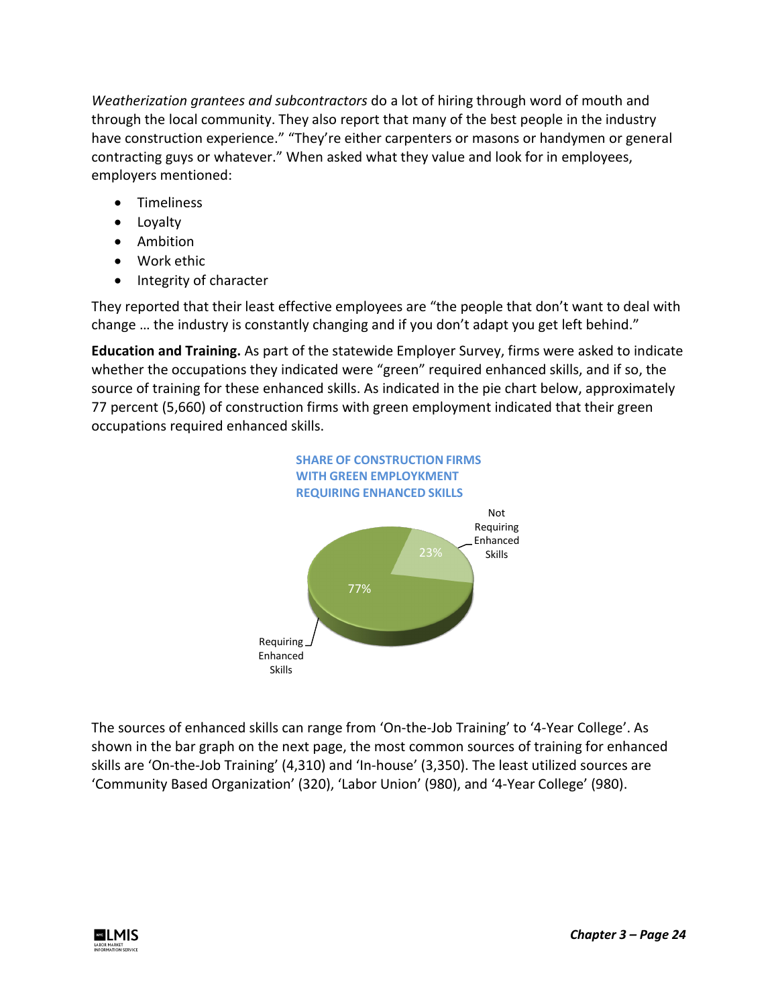*Weatherization grantees and subcontractors* do a lot of hiring through word of mouth and through the local community. They also report that many of the best people in the industry have construction experience." "They're either carpenters or masons or handymen or general contracting guys or whatever." When asked what they value and look for in employees, employers mentioned:

- Timeliness
- Loyalty
- Ambition
- Work ethic
- Integrity of character

They reported that their least effective employees are "the people that don't want to deal with change … the industry is constantly changing and if you don't adapt you get left behind."

**Education and Training.** As part of the statewide Employer Survey, firms were asked to indicate whether the occupations they indicated were "green" required enhanced skills, and if so, the source of training for these enhanced skills. As indicated in the pie chart below, approximately 77 percent (5,660) of construction firms with green employment indicated that their green occupations required enhanced skills.



The sources of enhanced skills can range from 'On-the-Job Training' to '4-Year College'. As shown in the bar graph on the next page, the most common sources of training for enhanced skills are 'On-the-Job Training' (4,310) and 'In-house' (3,350). The least utilized sources are 'Community Based Organization' (320), 'Labor Union' (980), and '4-Year College' (980).

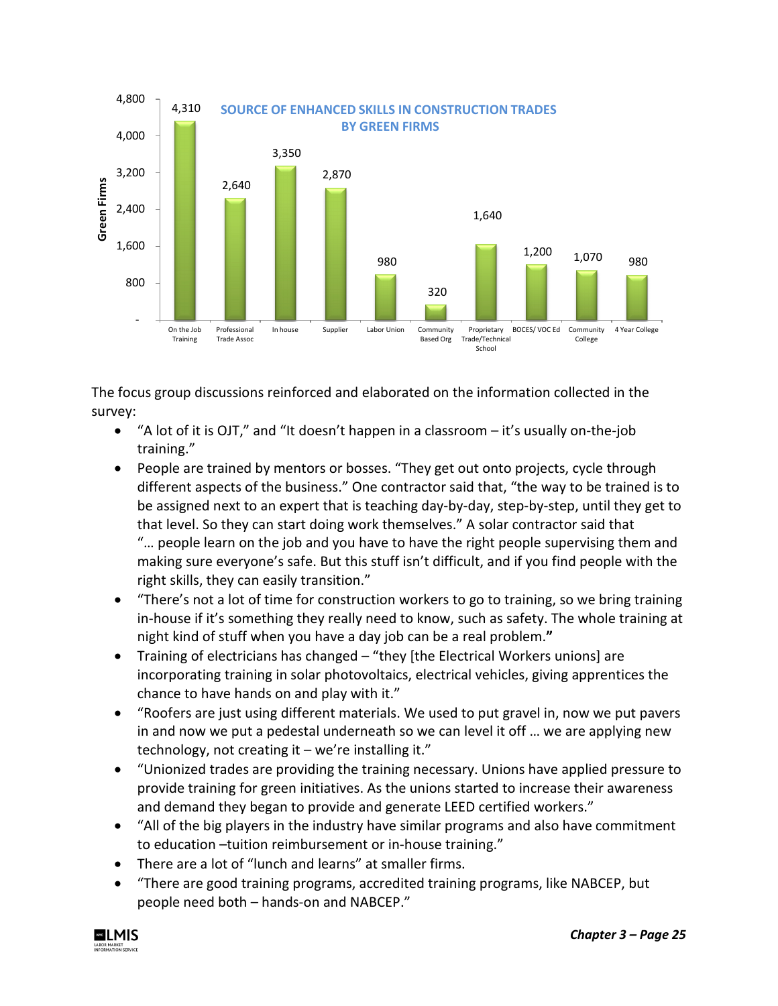

The focus group discussions reinforced and elaborated on the information collected in the survey:

- "A lot of it is OJT," and "It doesn't happen in a classroom it's usually on-the-job training."
- People are trained by mentors or bosses. "They get out onto projects, cycle through different aspects of the business." One contractor said that, "the way to be trained is to be assigned next to an expert that is teaching day-by-day, step-by-step, until they get to that level. So they can start doing work themselves." A solar contractor said that "… people learn on the job and you have to have the right people supervising them and making sure everyone's safe. But this stuff isn't difficult, and if you find people with the right skills, they can easily transition."
- "There's not a lot of time for construction workers to go to training, so we bring training in-house if it's something they really need to know, such as safety. The whole training at night kind of stuff when you have a day job can be a real problem.**"**
- Training of electricians has changed "they [the Electrical Workers unions] are incorporating training in solar photovoltaics, electrical vehicles, giving apprentices the chance to have hands on and play with it."
- "Roofers are just using different materials. We used to put gravel in, now we put pavers in and now we put a pedestal underneath so we can level it off … we are applying new technology, not creating it – we're installing it."
- "Unionized trades are providing the training necessary. Unions have applied pressure to provide training for green initiatives. As the unions started to increase their awareness and demand they began to provide and generate LEED certified workers."
- "All of the big players in the industry have similar programs and also have commitment to education –tuition reimbursement or in-house training."
- There are a lot of "lunch and learns" at smaller firms.
- "There are good training programs, accredited training programs, like NABCEP, but people need both – hands-on and NABCEP."

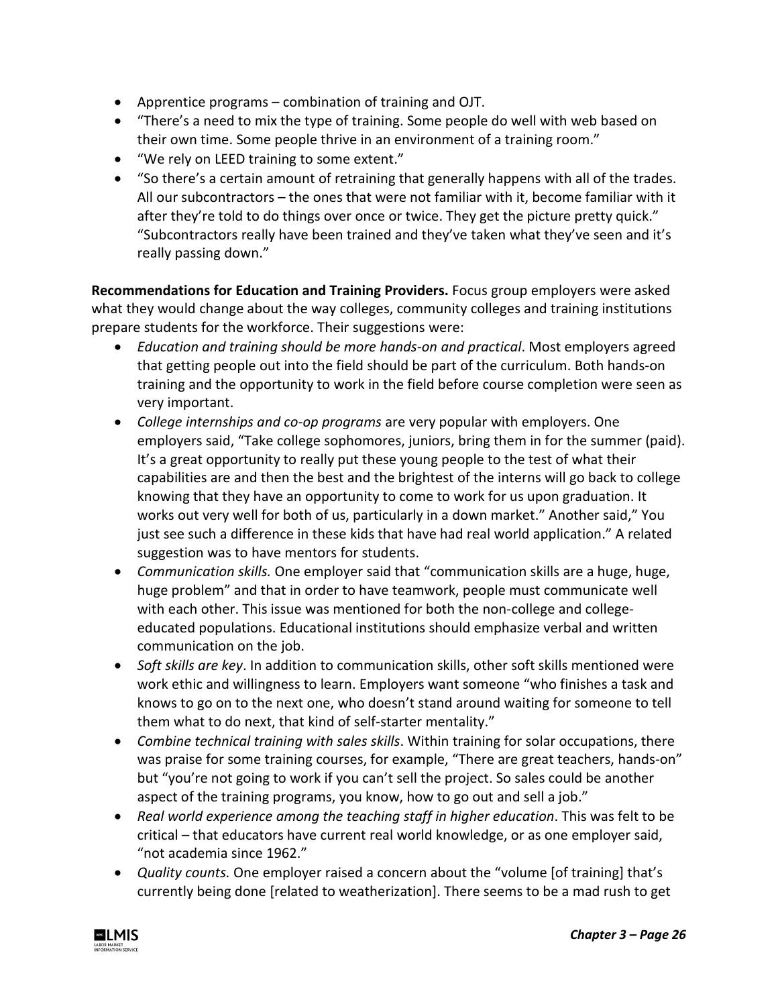- Apprentice programs combination of training and OJT.
- "There's a need to mix the type of training. Some people do well with web based on their own time. Some people thrive in an environment of a training room."
- "We rely on LEED training to some extent."
- "So there's a certain amount of retraining that generally happens with all of the trades. All our subcontractors – the ones that were not familiar with it, become familiar with it after they're told to do things over once or twice. They get the picture pretty quick." "Subcontractors really have been trained and they've taken what they've seen and it's really passing down."

**Recommendations for Education and Training Providers.** Focus group employers were asked what they would change about the way colleges, community colleges and training institutions prepare students for the workforce. Their suggestions were:

- *Education and training should be more hands-on and practical*. Most employers agreed that getting people out into the field should be part of the curriculum. Both hands-on training and the opportunity to work in the field before course completion were seen as very important.
- *College internships and co-op programs* are very popular with employers. One employers said, "Take college sophomores, juniors, bring them in for the summer (paid). It's a great opportunity to really put these young people to the test of what their capabilities are and then the best and the brightest of the interns will go back to college knowing that they have an opportunity to come to work for us upon graduation. It works out very well for both of us, particularly in a down market." Another said," You just see such a difference in these kids that have had real world application." A related suggestion was to have mentors for students.
- *Communication skills.* One employer said that "communication skills are a huge, huge, huge problem" and that in order to have teamwork, people must communicate well with each other. This issue was mentioned for both the non-college and collegeeducated populations. Educational institutions should emphasize verbal and written communication on the job.
- *Soft skills are key*. In addition to communication skills, other soft skills mentioned were work ethic and willingness to learn. Employers want someone "who finishes a task and knows to go on to the next one, who doesn't stand around waiting for someone to tell them what to do next, that kind of self-starter mentality."
- *Combine technical training with sales skills*. Within training for solar occupations, there was praise for some training courses, for example, "There are great teachers, hands-on" but "you're not going to work if you can't sell the project. So sales could be another aspect of the training programs, you know, how to go out and sell a job."
- *Real world experience among the teaching staff in higher education*. This was felt to be critical – that educators have current real world knowledge, or as one employer said, "not academia since 1962."
- *Quality counts.* One employer raised a concern about the "volume [of training] that's currently being done [related to weatherization]. There seems to be a mad rush to get